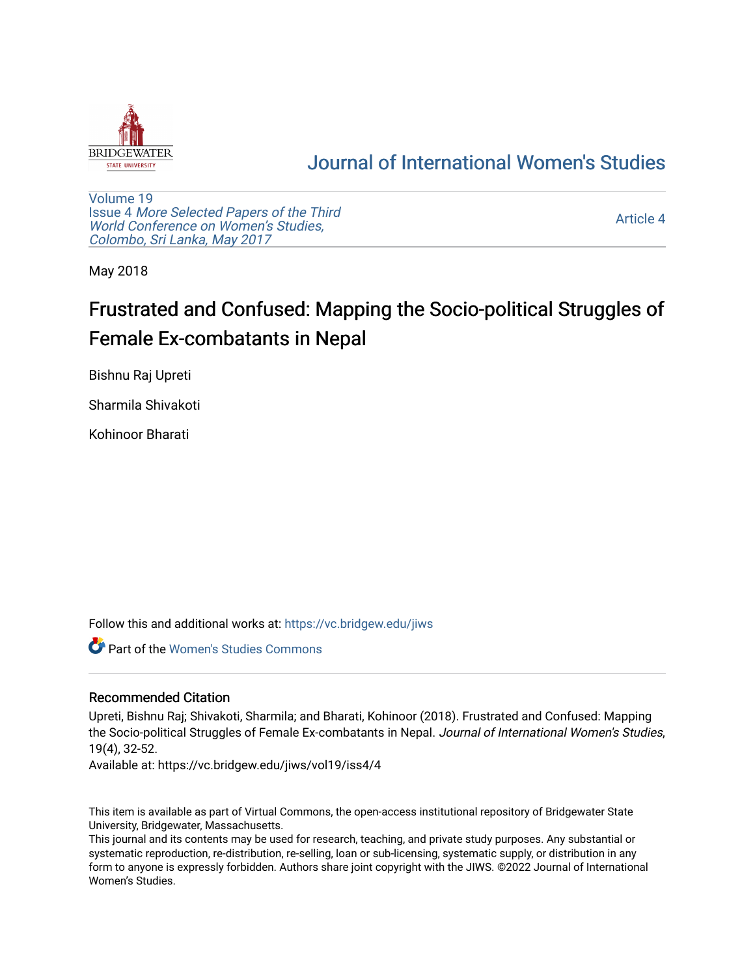

## [Journal of International Women's Studies](https://vc.bridgew.edu/jiws)

[Volume 19](https://vc.bridgew.edu/jiws/vol19) Issue 4 [More Selected Papers of the Third](https://vc.bridgew.edu/jiws/vol19/iss4)  [World Conference on Women's Studies,](https://vc.bridgew.edu/jiws/vol19/iss4)  [Colombo, Sri Lanka, May 2017](https://vc.bridgew.edu/jiws/vol19/iss4) 

[Article 4](https://vc.bridgew.edu/jiws/vol19/iss4/4) 

May 2018

# Frustrated and Confused: Mapping the Socio-political Struggles of Female Ex-combatants in Nepal

Bishnu Raj Upreti

Sharmila Shivakoti

Kohinoor Bharati

Follow this and additional works at: [https://vc.bridgew.edu/jiws](https://vc.bridgew.edu/jiws?utm_source=vc.bridgew.edu%2Fjiws%2Fvol19%2Fiss4%2F4&utm_medium=PDF&utm_campaign=PDFCoverPages)

Part of the [Women's Studies Commons](http://network.bepress.com/hgg/discipline/561?utm_source=vc.bridgew.edu%2Fjiws%2Fvol19%2Fiss4%2F4&utm_medium=PDF&utm_campaign=PDFCoverPages) 

## Recommended Citation

Upreti, Bishnu Raj; Shivakoti, Sharmila; and Bharati, Kohinoor (2018). Frustrated and Confused: Mapping the Socio-political Struggles of Female Ex-combatants in Nepal. Journal of International Women's Studies, 19(4), 32-52.

Available at: https://vc.bridgew.edu/jiws/vol19/iss4/4

This item is available as part of Virtual Commons, the open-access institutional repository of Bridgewater State University, Bridgewater, Massachusetts.

This journal and its contents may be used for research, teaching, and private study purposes. Any substantial or systematic reproduction, re-distribution, re-selling, loan or sub-licensing, systematic supply, or distribution in any form to anyone is expressly forbidden. Authors share joint copyright with the JIWS. ©2022 Journal of International Women's Studies.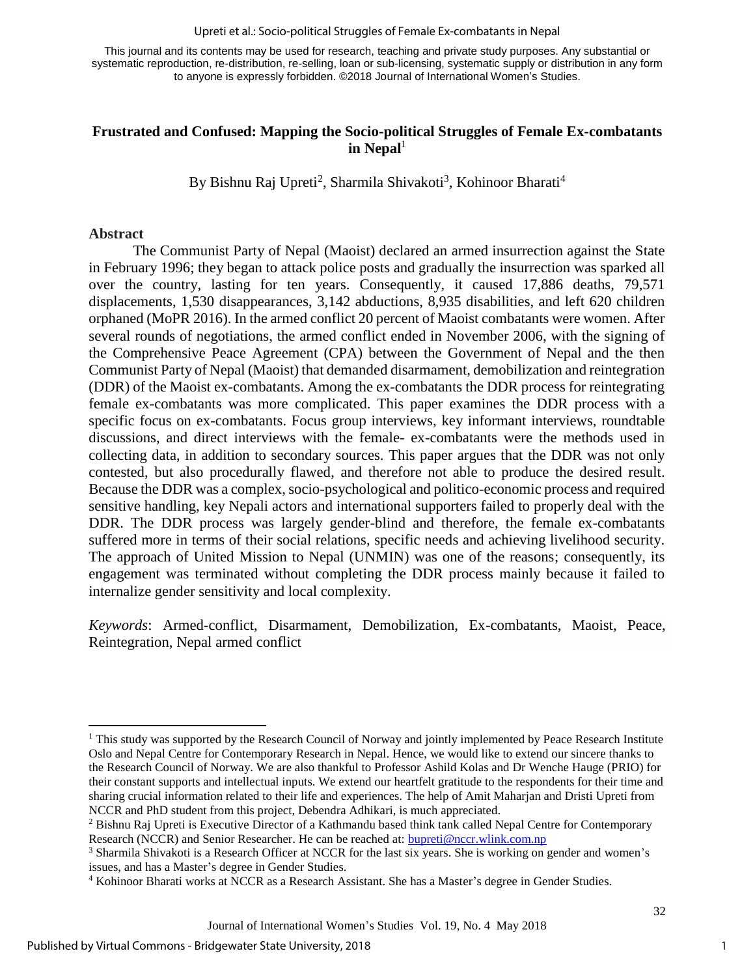Upreti et al.: Socio-political Struggles of Female Ex-combatants in Nepal

This journal and its contents may be used for research, teaching and private study purposes. Any substantial or systematic reproduction, re-distribution, re-selling, loan or sub-licensing, systematic supply or distribution in any form to anyone is expressly forbidden. ©2018 Journal of International Women's Studies.

## **Frustrated and Confused: Mapping the Socio-political Struggles of Female Ex-combatants**  in Nepal<sup>1</sup>

By Bishnu Raj Upreti<sup>2</sup>, Sharmila Shivakoti<sup>3</sup>, Kohinoor Bharati<sup>4</sup>

#### **Abstract**

The Communist Party of Nepal (Maoist) declared an armed insurrection against the State in February 1996; they began to attack police posts and gradually the insurrection was sparked all over the country, lasting for ten years. Consequently, it caused 17,886 deaths, 79,571 displacements, 1,530 disappearances, 3,142 abductions, 8,935 disabilities, and left 620 children orphaned (MoPR 2016). In the armed conflict 20 percent of Maoist combatants were women. After several rounds of negotiations, the armed conflict ended in November 2006, with the signing of the Comprehensive Peace Agreement (CPA) between the Government of Nepal and the then Communist Party of Nepal (Maoist) that demanded disarmament, demobilization and reintegration (DDR) of the Maoist ex-combatants. Among the ex-combatants the DDR process for reintegrating female ex-combatants was more complicated. This paper examines the DDR process with a specific focus on ex-combatants. Focus group interviews, key informant interviews, roundtable discussions, and direct interviews with the female- ex-combatants were the methods used in collecting data, in addition to secondary sources. This paper argues that the DDR was not only contested, but also procedurally flawed, and therefore not able to produce the desired result. Because the DDR was a complex, socio-psychological and politico-economic process and required sensitive handling, key Nepali actors and international supporters failed to properly deal with the DDR. The DDR process was largely gender-blind and therefore, the female ex-combatants suffered more in terms of their social relations, specific needs and achieving livelihood security. The approach of United Mission to Nepal (UNMIN) was one of the reasons; consequently, its engagement was terminated without completing the DDR process mainly because it failed to internalize gender sensitivity and local complexity.

*Keywords*: Armed-conflict, Disarmament, Demobilization, Ex-combatants, Maoist, Peace, Reintegration, Nepal armed conflict

l  $<sup>1</sup>$  This study was supported by the Research Council of Norway and jointly implemented by Peace Research Institute</sup> Oslo and Nepal Centre for Contemporary Research in Nepal. Hence, we would like to extend our sincere thanks to the Research Council of Norway. We are also thankful to Professor Ashild Kolas and Dr Wenche Hauge (PRIO) for their constant supports and intellectual inputs. We extend our heartfelt gratitude to the respondents for their time and sharing crucial information related to their life and experiences. The help of Amit Maharjan and Dristi Upreti from NCCR and PhD student from this project, Debendra Adhikari, is much appreciated.

<sup>2</sup> Bishnu Raj Upreti is Executive Director of a Kathmandu based think tank called Nepal Centre for Contemporary Research (NCCR) and Senior Researcher. He can be reached at: [bupreti@nccr.wlink.com.np](mailto:bupreti@nccr.wlink.com.np)

<sup>3</sup> Sharmila Shivakoti is a Research Officer at NCCR for the last six years. She is working on gender and women's issues, and has a Master's degree in Gender Studies.

<sup>4</sup> Kohinoor Bharati works at NCCR as a Research Assistant. She has a Master's degree in Gender Studies.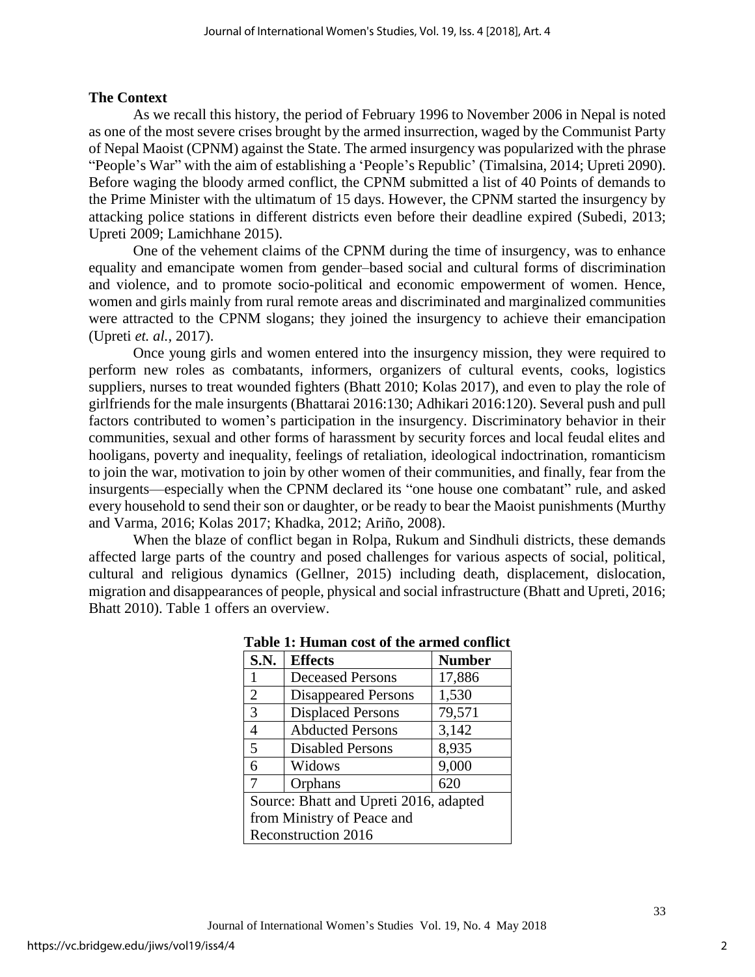## **The Context**

As we recall this history, the period of February 1996 to November 2006 in Nepal is noted as one of the most severe crises brought by the armed insurrection, waged by the [Communist Party](https://en.wikipedia.org/wiki/Communist_Party_of_Nepal_%28Maoist%29)  [of Nepal Maoist](https://en.wikipedia.org/wiki/Communist_Party_of_Nepal_%28Maoist%29) (CPNM) against the State. The armed insurgency was popularized with the phrase "People's War" with the aim of establishing a 'People's Republic' (Timalsina, 2014; Upreti 2090). Before waging the bloody armed conflict, the CPNM submitted a list of 40 Points of demands to the Prime Minister with the ultimatum of 15 days. However, the CPNM started the insurgency by attacking police stations in different districts even before their deadline expired (Subedi, 2013; Upreti 2009; Lamichhane 2015).

One of the vehement claims of the CPNM during the time of insurgency, was to enhance equality and emancipate women from gender–based social and cultural forms of discrimination and violence, and to promote socio-political and economic empowerment of women. Hence, women and girls mainly from rural remote areas and discriminated and marginalized communities were attracted to the CPNM slogans; they joined the insurgency to achieve their emancipation (Upreti *et. al.,* 2017).

Once young girls and women entered into the insurgency mission, they were required to perform new roles as combatants, informers, organizers of cultural events, cooks, logistics suppliers, nurses to treat wounded fighters (Bhatt 2010; Kolas 2017), and even to play the role of girlfriends for the male insurgents (Bhattarai 2016:130; Adhikari 2016:120). Several push and pull factors contributed to women's participation in the insurgency. Discriminatory behavior in their communities, sexual and other forms of harassment by security forces and local feudal elites and hooligans, poverty and inequality, feelings of retaliation, ideological indoctrination, romanticism to join the war, motivation to join by other women of their communities, and finally, fear from the insurgents—especially when the CPNM declared its "one house one combatant" rule, and asked every household to send their son or daughter, or be ready to bear the Maoist punishments (Murthy and Varma, 2016; Kolas 2017; Khadka, 2012; Ariño, 2008).

When the blaze of conflict began in Rolpa, Rukum and Sindhuli districts, these demands affected large parts of the country and posed challenges for various aspects of social, political, cultural and religious dynamics (Gellner, 2015) including death, displacement, dislocation, migration and disappearances of people, physical and social infrastructure (Bhatt and Upreti, 2016; Bhatt 2010). Table 1 offers an overview.

| S.N.                                   | <b>Effects</b>             | <b>Number</b> |  |
|----------------------------------------|----------------------------|---------------|--|
| 1                                      | <b>Deceased Persons</b>    | 17,886        |  |
| $\overline{2}$                         | <b>Disappeared Persons</b> | 1,530         |  |
| $\overline{3}$                         | <b>Displaced Persons</b>   | 79,571        |  |
| $\overline{4}$                         | <b>Abducted Persons</b>    | 3,142         |  |
| 5                                      | <b>Disabled Persons</b>    | 8,935         |  |
| 6                                      | Widows                     | 9,000         |  |
| 7                                      | Orphans                    | 620           |  |
| Source: Bhatt and Upreti 2016, adapted |                            |               |  |
| from Ministry of Peace and             |                            |               |  |
| <b>Reconstruction 2016</b>             |                            |               |  |

## **Table 1: Human cost of the armed conflict**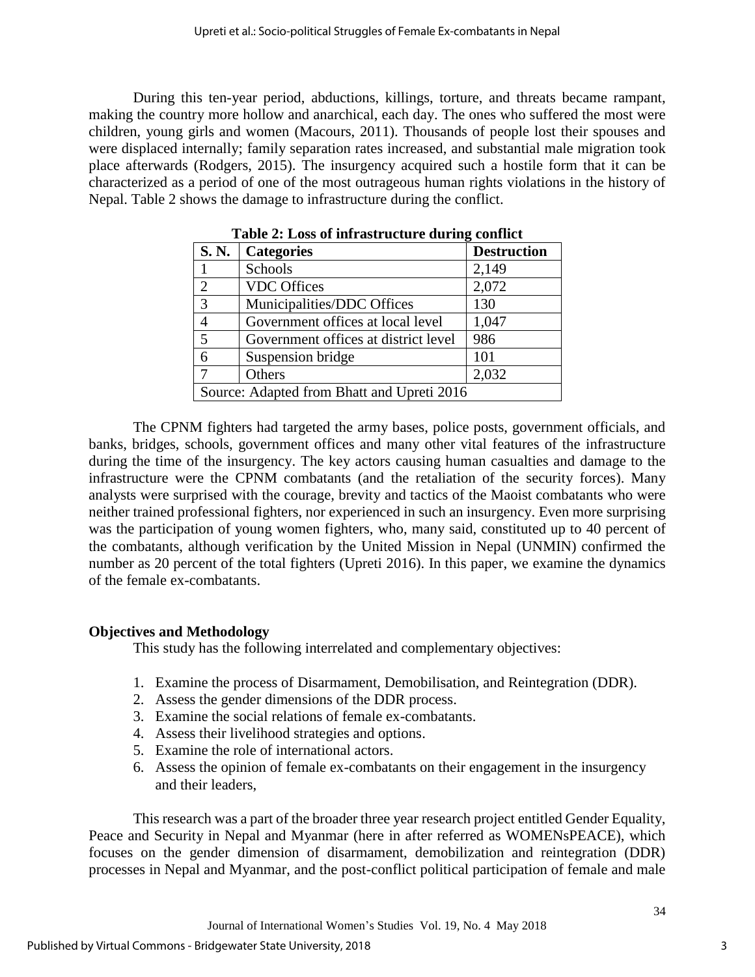During this ten-year period, abductions, killings, torture, and threats became rampant, making the country more hollow and anarchical, each day. The ones who suffered the most were children, young girls and women (Macours, 2011). Thousands of people lost their spouses and were displaced internally; family separation rates increased, and substantial male migration took place afterwards (Rodgers, 2015). The insurgency acquired such a hostile form that it can be characterized as a period of one of the most outrageous human rights violations in the history of Nepal. Table 2 shows the damage to infrastructure during the conflict.

| S.N.                                       | <b>Categories</b>                    | <b>Destruction</b> |  |
|--------------------------------------------|--------------------------------------|--------------------|--|
|                                            | Schools                              | 2,149              |  |
| $\overline{2}$                             | <b>VDC</b> Offices                   | 2,072              |  |
| 3                                          | Municipalities/DDC Offices           | 130                |  |
| $\overline{4}$                             | Government offices at local level    | 1,047              |  |
| 5                                          | Government offices at district level | 986                |  |
| 6                                          | Suspension bridge                    | 101                |  |
| 7                                          | Others                               | 2,032              |  |
| Source: Adapted from Bhatt and Upreti 2016 |                                      |                    |  |

**Table 2: Loss of infrastructure during conflict**

The CPNM fighters had targeted the army bases, police posts, government officials, and banks, bridges, schools, government offices and many other vital features of the infrastructure during the time of the insurgency. The key actors causing human casualties and damage to the infrastructure were the CPNM combatants (and the retaliation of the security forces). Many analysts were surprised with the courage, brevity and tactics of the Maoist combatants who were neither trained professional fighters, nor experienced in such an insurgency. Even more surprising was the participation of young women fighters, who, many said, constituted up to 40 percent of the combatants, although verification by the United Mission in Nepal (UNMIN) confirmed the number as 20 percent of the total fighters (Upreti 2016). In this paper, we examine the dynamics of the female ex-combatants.

## **Objectives and Methodology**

This study has the following interrelated and complementary objectives:

- 1. Examine the process of [Disarmament, Demobilisation, and Reintegration](https://www.files.ethz.ch/isn/20984/RP2006-7web.pdf) (DDR).
- 2. Assess the gender dimensions of the DDR process.
- 3. Examine the social relations of female ex-combatants.
- 4. Assess their livelihood strategies and options.
- 5. Examine the role of international actors.
- 6. Assess the opinion of female ex-combatants on their engagement in the insurgency and their leaders,

This research was a part of the broader three year research project entitled Gender Equality, Peace and Security in Nepal and Myanmar (here in after referred as WOMENsPEACE), which focuses on the gender dimension of disarmament, demobilization and reintegration (DDR) processes in Nepal and Myanmar, and the post-conflict political participation of female and male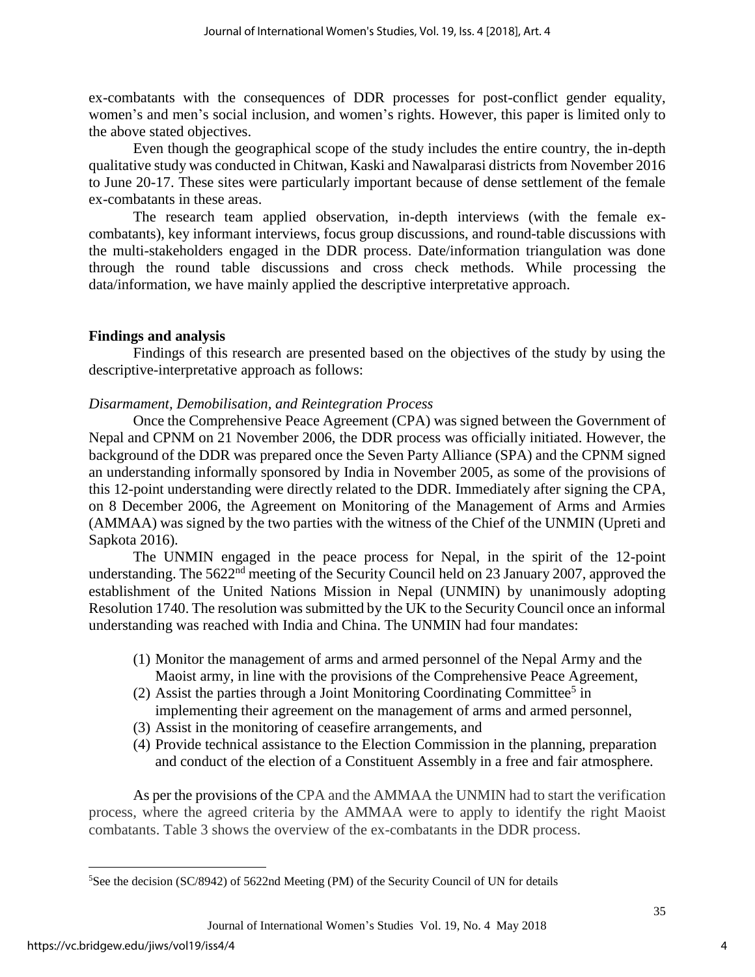ex-combatants with the consequences of DDR processes for post-conflict gender equality, women's and men's social inclusion, and women's rights. However, this paper is limited only to the above stated objectives.

Even though the geographical scope of the study includes the entire country, the in-depth qualitative study was conducted in Chitwan, Kaski and Nawalparasi districts from November 2016 to June 20-17. These sites were particularly important because of dense settlement of the female ex-combatants in these areas.

The research team applied observation, in-depth interviews (with the female excombatants), key informant interviews, focus group discussions, and round-table discussions with the multi-stakeholders engaged in the DDR process. Date/information triangulation was done through the round table discussions and cross check methods. While processing the data/information, we have mainly applied the descriptive interpretative approach.

#### **Findings and analysis**

Findings of this research are presented based on the objectives of the study by using the descriptive-interpretative approach as follows:

#### *[Disarmament, Demobilisation, and Reintegration](https://www.files.ethz.ch/isn/20984/RP2006-7web.pdf) Process*

Once the Comprehensive Peace Agreement (CPA) was signed between the Government of Nepal and CPNM on 21 November 2006, the DDR process was officially initiated. However, the background of the DDR was prepared once the Seven Party Alliance (SPA) and the CPNM signed an understanding informally sponsored by India in November 2005, as some of the provisions of this 12-point understanding were directly related to the DDR. Immediately after signing the CPA, on 8 December 2006, the Agreement on Monitoring of the Management of Arms and Armies (AMMAA) was signed by the two parties with the witness of the Chief of the UNMIN (Upreti and Sapkota 2016).

The UNMIN engaged in the peace process for Nepal, in the spirit of the 12-point understanding. The 5622<sup>nd</sup> meeting of the Security Council held on 23 January 2007, approved the establishment of the United Nations Mission in Nepal (UNMIN) by unanimously adopting Resolution 1740. The resolution was submitted by the UK to the Security Council once an informal understanding was reached with India and China. The UNMIN had four mandates:

- (1) Monitor the management of arms and armed personnel of the Nepal Army and the Maoist army, in line with the provisions of the Comprehensive Peace Agreement,
- (2) Assist the parties through a Joint Monitoring Coordinating Committee<sup>5</sup> in implementing their agreement on the management of arms and armed personnel,
- (3) Assist in the monitoring of ceasefire arrangements, and
- (4) Provide technical assistance to the Election Commission in the planning, preparation and conduct of the election of a Constituent Assembly in a free and fair atmosphere.

As per the provisions of the CPA and the AMMAA the UNMIN had to start the verification process, where the agreed criteria by the AMMAA were to apply to identify the right Maoist combatants. Table 3 shows the overview of the ex-combatants in the DDR process.

 $\overline{\phantom{a}}$ 

<sup>5</sup>See the decision (SC/8942) of 5622nd Meeting (PM) of the Security Council of UN for details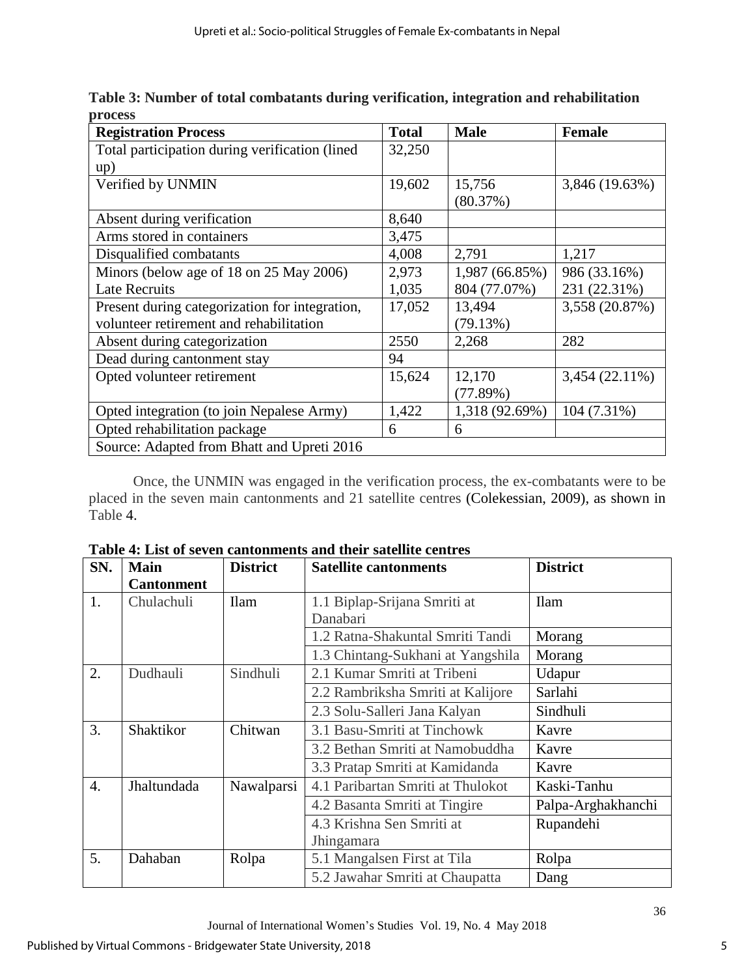| Table 3: Number of total combatants during verification, integration and rehabilitation |  |
|-----------------------------------------------------------------------------------------|--|
| process                                                                                 |  |

| <b>Registration Process</b>                    | <b>Total</b> | <b>Male</b>    | <b>Female</b>  |  |
|------------------------------------------------|--------------|----------------|----------------|--|
| Total participation during verification (lined | 32,250       |                |                |  |
| up)                                            |              |                |                |  |
| Verified by UNMIN                              | 19,602       | 15,756         | 3,846 (19.63%) |  |
|                                                |              | (80.37%)       |                |  |
| Absent during verification                     | 8,640        |                |                |  |
| Arms stored in containers                      | 3,475        |                |                |  |
| Disqualified combatants                        | 4,008        | 2,791          | 1,217          |  |
| Minors (below age of 18 on 25 May 2006)        | 2,973        | 1,987 (66.85%) | 986 (33.16%)   |  |
| <b>Late Recruits</b>                           | 1,035        | 804 (77.07%)   | 231 (22.31%)   |  |
| Present during categorization for integration, | 17,052       | 13,494         | 3,558 (20.87%) |  |
| volunteer retirement and rehabilitation        |              | (79.13%)       |                |  |
| Absent during categorization                   | 2550         | 2,268          | 282            |  |
| Dead during cantonment stay                    | 94           |                |                |  |
| Opted volunteer retirement                     | 15,624       | 12,170         | 3,454 (22.11%) |  |
|                                                |              | (77.89%)       |                |  |
| Opted integration (to join Nepalese Army)      | 1,422        | 1,318 (92.69%) | 104 (7.31%)    |  |
| Opted rehabilitation package                   | 6            | 6              |                |  |
| Source: Adapted from Bhatt and Upreti 2016     |              |                |                |  |

Once, the UNMIN was engaged in the verification process, the ex-combatants were to be placed in the seven main cantonments and 21 satellite centres (Colekessian, 2009), as shown in Table 4.

| SN.              | <b>Main</b>       | <b>District</b> | <b>Satellite cantonments</b>      | <b>District</b>    |
|------------------|-------------------|-----------------|-----------------------------------|--------------------|
|                  | <b>Cantonment</b> |                 |                                   |                    |
| 1.               | Chulachuli        | <b>Ilam</b>     | 1.1 Biplap-Srijana Smriti at      | <b>Ilam</b>        |
|                  |                   |                 | Danabari                          |                    |
|                  |                   |                 | 1.2 Ratna-Shakuntal Smriti Tandi  | Morang             |
|                  |                   |                 | 1.3 Chintang-Sukhani at Yangshila | Morang             |
| 2.               | Dudhauli          | Sindhuli        | 2.1 Kumar Smriti at Tribeni       | Udapur             |
|                  |                   |                 | 2.2 Rambriksha Smriti at Kalijore | Sarlahi            |
|                  |                   |                 | 2.3 Solu-Salleri Jana Kalyan      | Sindhuli           |
| 3.               | Shaktikor         | Chitwan         | 3.1 Basu-Smriti at Tinchowk       | Kavre              |
|                  |                   |                 | 3.2 Bethan Smriti at Namobuddha   | Kavre              |
|                  |                   |                 | 3.3 Pratap Smriti at Kamidanda    | Kavre              |
| $\overline{4}$ . | Jhaltundada       | Nawalparsi      | 4.1 Paribartan Smriti at Thulokot | Kaski-Tanhu        |
|                  |                   |                 | 4.2 Basanta Smriti at Tingire     | Palpa-Arghakhanchi |
|                  |                   |                 | 4.3 Krishna Sen Smriti at         | Rupandehi          |
|                  |                   |                 | Jhingamara                        |                    |
| 5.               | Dahaban           | Rolpa           | 5.1 Mangalsen First at Tila       | Rolpa              |
|                  |                   |                 | 5.2 Jawahar Smriti at Chaupatta   | Dang               |

**Table 4: List of seven cantonments and their satellite centres**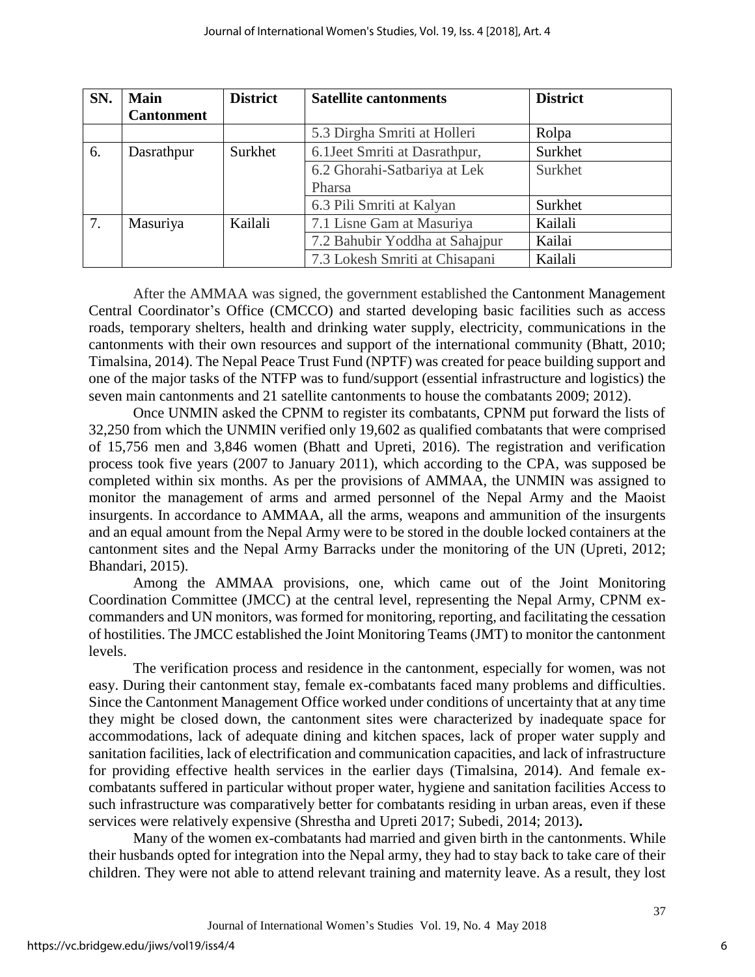| SN. | <b>Main</b>       | <b>District</b> | <b>Satellite cantonments</b>   | <b>District</b> |
|-----|-------------------|-----------------|--------------------------------|-----------------|
|     | <b>Cantonment</b> |                 |                                |                 |
|     |                   |                 | 5.3 Dirgha Smriti at Holleri   | Rolpa           |
| 6.  | Dasrathpur        | Surkhet         | 6.1 Jeet Smriti at Dasrathpur, | Surkhet         |
|     |                   |                 | 6.2 Ghorahi-Satbariya at Lek   | Surkhet         |
|     |                   |                 | Pharsa                         |                 |
|     |                   |                 | 6.3 Pili Smriti at Kalyan      | Surkhet         |
| 7.  | Masuriya          | Kailali         | 7.1 Lisne Gam at Masuriya      | Kailali         |
|     |                   |                 | 7.2 Bahubir Yoddha at Sahajpur | Kailai          |
|     |                   |                 | 7.3 Lokesh Smriti at Chisapani | Kailali         |

After the AMMAA was signed, the government established the Cantonment Management Central Coordinator's Office (CMCCO) and started developing basic facilities such as access roads, temporary shelters, health and drinking water supply, electricity, communications in the cantonments with their own resources and support of the international community (Bhatt, 2010; Timalsina, 2014). The Nepal Peace Trust Fund (NPTF) was created for peace building support and one of the major tasks of the NTFP was to fund/support (essential infrastructure and logistics) the seven main cantonments and 21 satellite cantonments to house the combatants 2009; 2012).

Once UNMIN asked the CPNM to register its combatants, CPNM put forward the lists of 32,250 from which the UNMIN verified only 19,602 as qualified combatants that were comprised of 15,756 men and 3,846 women (Bhatt and Upreti, 2016). The registration and verification process took five years (2007 to January 2011), which according to the CPA, was supposed be completed within six months. As per the provisions of AMMAA, the UNMIN was assigned to monitor the management of arms and armed personnel of the Nepal Army and the Maoist insurgents. In accordance to AMMAA, all the arms, weapons and ammunition of the insurgents and an equal amount from the Nepal Army were to be stored in the double locked containers at the cantonment sites and the Nepal Army Barracks under the monitoring of the UN (Upreti, 2012; Bhandari, 2015).

Among the AMMAA provisions, one, which came out of the Joint Monitoring Coordination Committee (JMCC) at the central level, representing the Nepal Army, CPNM excommanders and UN monitors, was formed for monitoring, reporting, and facilitating the cessation of hostilities. The JMCC established the Joint Monitoring Teams (JMT) to monitor the cantonment levels.

The verification process and residence in the cantonment, especially for women, was not easy. During their cantonment stay, female ex-combatants faced many problems and difficulties. Since the Cantonment Management Office worked under conditions of uncertainty that at any time they might be closed down, the cantonment sites were characterized by inadequate space for accommodations, lack of adequate dining and kitchen spaces, lack of proper water supply and sanitation facilities, lack of electrification and communication capacities, and lack of infrastructure for providing effective health services in the earlier days (Timalsina, 2014). And female excombatants suffered in particular without proper water, hygiene and sanitation facilities Access to such infrastructure was comparatively better for combatants residing in urban areas, even if these services were relatively expensive (Shrestha and Upreti 2017; Subedi, 2014; 2013)**.**

Many of the women ex-combatants had married and given birth in the cantonments. While their husbands opted for integration into the Nepal army, they had to stay back to take care of their children. They were not able to attend relevant training and maternity leave. As a result, they lost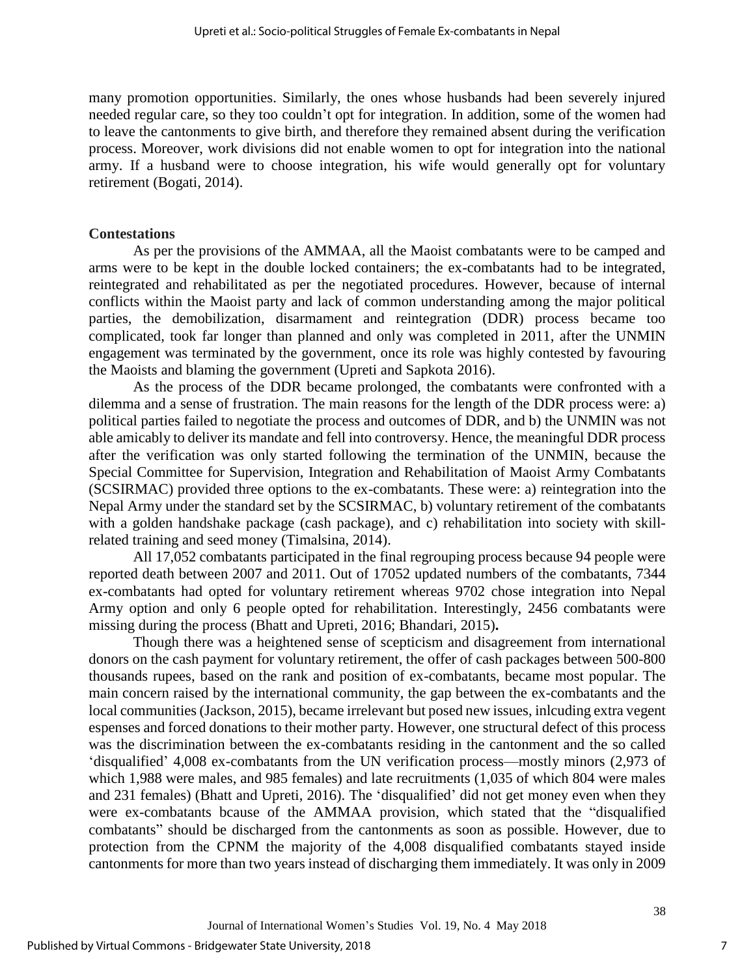many promotion opportunities. Similarly, the ones whose husbands had been severely injured needed regular care, so they too couldn't opt for integration. In addition, some of the women had to leave the cantonments to give birth, and therefore they remained absent during the verification process. Moreover, work divisions did not enable women to opt for integration into the national army. If a husband were to choose integration, his wife would generally opt for voluntary retirement (Bogati, 2014).

#### **Contestations**

As per the provisions of the AMMAA, all the Maoist combatants were to be camped and arms were to be kept in the double locked containers; the ex-combatants had to be integrated, reintegrated and rehabilitated as per the negotiated procedures. However, because of internal conflicts within the Maoist party and lack of common understanding among the major political parties, the demobilization, disarmament and reintegration (DDR) process became too complicated, took far longer than planned and only was completed in 2011, after the UNMIN engagement was terminated by the government, once its role was highly contested by favouring the Maoists and blaming the government (Upreti and Sapkota 2016).

As the process of the DDR became prolonged, the combatants were confronted with a dilemma and a sense of frustration. The main reasons for the length of the DDR process were: a) political parties failed to negotiate the process and outcomes of DDR, and b) the UNMIN was not able amicably to deliver its mandate and fell into controversy. Hence, the meaningful DDR process after the verification was only started following the termination of the UNMIN, because the Special Committee for Supervision, Integration and Rehabilitation of Maoist Army Combatants (SCSIRMAC) provided three options to the ex-combatants. These were: a) reintegration into the Nepal Army under the standard set by the SCSIRMAC, b) voluntary retirement of the combatants with a golden handshake package (cash package), and c) rehabilitation into society with skillrelated training and seed money (Timalsina, 2014).

All 17,052 combatants participated in the final regrouping process because 94 people were reported death between 2007 and 2011. Out of 17052 updated numbers of the combatants, 7344 ex-combatants had opted for voluntary retirement whereas 9702 chose integration into Nepal Army option and only 6 people opted for rehabilitation. Interestingly, 2456 combatants were missing during the process (Bhatt and Upreti, 2016; Bhandari, 2015)**.**

Though there was a heightened sense of scepticism and disagreement from international donors on the cash payment for voluntary retirement, the offer of cash packages between 500-800 thousands rupees, based on the rank and position of ex-combatants, became most popular. The main concern raised by the international community, the gap between the ex-combatants and the local communities (Jackson, 2015), became irrelevant but posed new issues, inlcuding extra vegent espenses and forced donations to their mother party. However, one structural defect of this process was the discrimination between the ex-combatants residing in the cantonment and the so called 'disqualified' 4,008 ex-combatants from the UN verification process—mostly minors (2,973 of which 1,988 were males, and 985 females) and late recruitments (1,035 of which 804 were males and 231 females) (Bhatt and Upreti, 2016). The 'disqualified' did not get money even when they were ex-combatants bcause of the AMMAA provision, which stated that the "disqualified combatants" should be discharged from the cantonments as soon as possible. However, due to protection from the CPNM the majority of the 4,008 disqualified combatants stayed inside cantonments for more than two years instead of discharging them immediately. It was only in 2009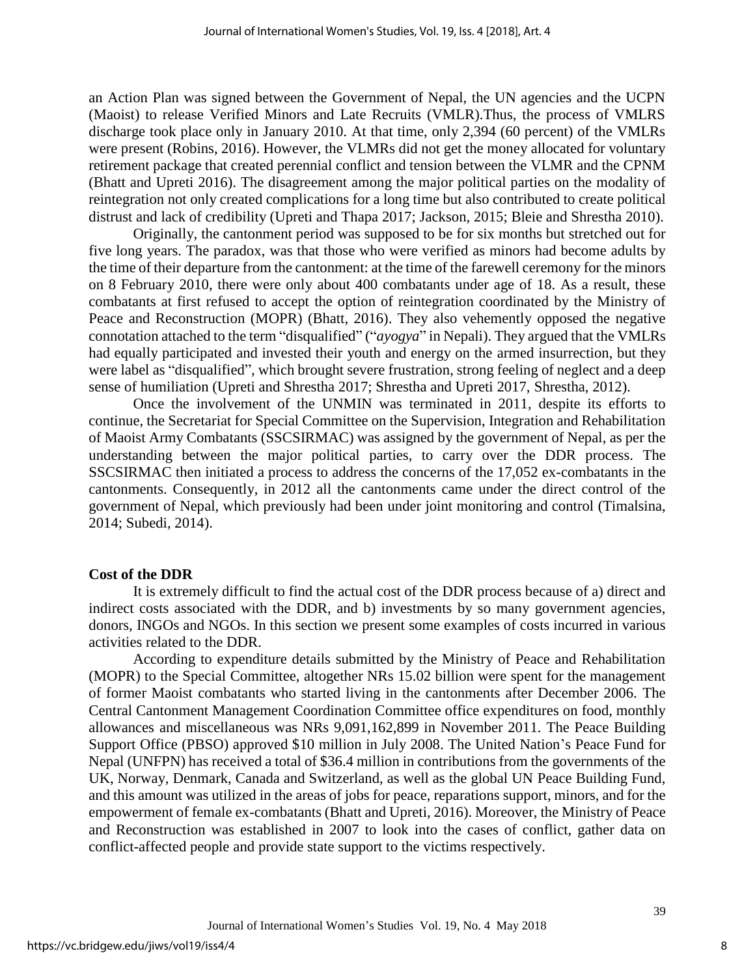an Action Plan was signed between the Government of Nepal, the UN agencies and the UCPN (Maoist) to release Verified Minors and Late Recruits (VMLR).Thus, the process of VMLRS discharge took place only in January 2010. At that time, only 2,394 (60 percent) of the VMLRs were present (Robins, 2016). However, the VLMRs did not get the money allocated for voluntary retirement package that created perennial conflict and tension between the VLMR and the CPNM (Bhatt and Upreti 2016). The disagreement among the major political parties on the modality of reintegration not only created complications for a long time but also contributed to create political distrust and lack of credibility (Upreti and Thapa 2017; Jackson, 2015; Bleie and Shrestha 2010).

Originally, the cantonment period was supposed to be for six months but stretched out for five long years. The paradox, was that those who were verified as minors had become adults by the time of their departure from the cantonment: at the time of the farewell ceremony for the minors on 8 February 2010, there were only about 400 combatants under age of 18. As a result, these combatants at first refused to accept the option of reintegration coordinated by the Ministry of Peace and Reconstruction (MOPR) (Bhatt, 2016). They also vehemently opposed the negative connotation attached to the term "disqualified" ("*ayogya*" in Nepali). They argued that the VMLRs had equally participated and invested their youth and energy on the armed insurrection, but they were label as "disqualified", which brought severe frustration, strong feeling of neglect and a deep sense of humiliation (Upreti and Shrestha 2017; Shrestha and Upreti 2017, Shrestha, 2012).

Once the involvement of the UNMIN was terminated in 2011, despite its efforts to continue, the Secretariat for Special Committee on the Supervision, Integration and Rehabilitation of Maoist Army Combatants (SSCSIRMAC) was assigned by the government of Nepal, as per the understanding between the major political parties, to carry over the DDR process. The SSCSIRMAC then initiated a process to address the concerns of the 17,052 ex-combatants in the cantonments. Consequently, in 2012 all the cantonments came under the direct control of the government of Nepal, which previously had been under joint monitoring and control (Timalsina, 2014; Subedi, 2014).

#### **Cost of the DDR**

It is extremely difficult to find the actual cost of the DDR process because of a) direct and indirect costs associated with the DDR, and b) investments by so many government agencies, donors, INGOs and NGOs. In this section we present some examples of costs incurred in various activities related to the DDR.

According to expenditure details submitted by the Ministry of Peace and Rehabilitation (MOPR) to the Special Committee, altogether NRs 15.02 billion were spent for the management of former Maoist combatants who started living in the cantonments after December 2006. The Central Cantonment Management Coordination Committee office expenditures on food, monthly allowances and miscellaneous was NRs 9,091,162,899 in November 2011. The Peace Building Support Office (PBSO) approved \$10 million in July 2008. The United Nation's Peace Fund for Nepal (UNFPN) has received a total of \$36.4 million in contributions from the governments of the UK, Norway, Denmark, Canada and Switzerland, as well as the global UN Peace Building Fund, and this amount was utilized in the areas of jobs for peace, reparations support, minors, and for the empowerment of female ex-combatants (Bhatt and Upreti, 2016). Moreover, the Ministry of Peace and Reconstruction was established in 2007 to look into the cases of conflict, gather data on conflict-affected people and provide state support to the victims respectively.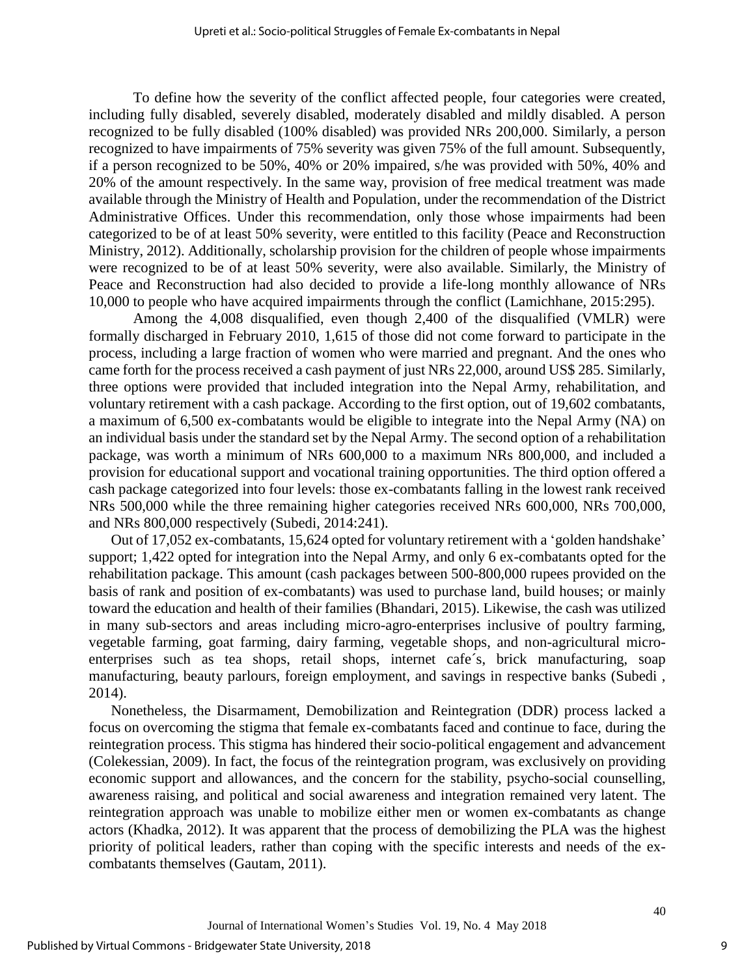To define how the severity of the conflict affected people, four categories were created, including fully disabled, severely disabled, moderately disabled and mildly disabled. A person recognized to be fully disabled (100% disabled) was provided NRs 200,000. Similarly, a person recognized to have impairments of 75% severity was given 75% of the full amount. Subsequently, if a person recognized to be 50%, 40% or 20% impaired, s/he was provided with 50%, 40% and 20% of the amount respectively. In the same way, provision of free medical treatment was made available through the Ministry of Health and Population, under the recommendation of the District Administrative Offices. Under this recommendation, only those whose impairments had been categorized to be of at least 50% severity, were entitled to this facility (Peace and Reconstruction Ministry, 2012). Additionally, scholarship provision for the children of people whose impairments were recognized to be of at least 50% severity, were also available. Similarly, the Ministry of Peace and Reconstruction had also decided to provide a life-long monthly allowance of NRs 10,000 to people who have acquired impairments through the conflict (Lamichhane, 2015:295).

Among the 4,008 disqualified, even though 2,400 of the disqualified (VMLR) were formally discharged in February 2010, 1,615 of those did not come forward to participate in the process, including a large fraction of women who were married and pregnant. And the ones who came forth for the process received a cash payment of just NRs 22,000, around US\$ 285. Similarly, three options were provided that included integration into the Nepal Army, rehabilitation, and voluntary retirement with a cash package. According to the first option, out of 19,602 combatants, a maximum of 6,500 ex-combatants would be eligible to integrate into the Nepal Army (NA) on an individual basis under the standard set by the Nepal Army. The second option of a rehabilitation package, was worth a minimum of NRs 600,000 to a maximum NRs 800,000, and included a provision for educational support and vocational training opportunities. The third option offered a cash package categorized into four levels: those ex-combatants falling in the lowest rank received NRs 500,000 while the three remaining higher categories received NRs 600,000, NRs 700,000, and NRs 800,000 respectively (Subedi, 2014:241).

Out of 17,052 ex-combatants, 15,624 opted for voluntary retirement with a 'golden handshake' support; 1,422 opted for integration into the Nepal Army, and only 6 ex-combatants opted for the rehabilitation package. This amount (cash packages between 500-800,000 rupees provided on the basis of rank and position of ex-combatants) was used to purchase land, build houses; or mainly toward the education and health of their families (Bhandari, 2015). Likewise, the cash was utilized in many sub-sectors and areas including micro-agro-enterprises inclusive of poultry farming, vegetable farming, goat farming, dairy farming, vegetable shops, and non-agricultural microenterprises such as tea shops, retail shops, internet cafe´s, brick manufacturing, soap manufacturing, beauty parlours, foreign employment, and savings in respective banks (Subedi , 2014).

Nonetheless, the Disarmament, Demobilization and Reintegration (DDR) process lacked a focus on overcoming the stigma that female ex-combatants faced and continue to face, during the reintegration process. This stigma has hindered their socio-political engagement and advancement (Colekessian, 2009). In fact, the focus of the reintegration program, was exclusively on providing economic support and allowances, and the concern for the stability, psycho-social counselling, awareness raising, and political and social awareness and integration remained very latent. The reintegration approach was unable to mobilize either men or women ex-combatants as change actors (Khadka, 2012). It was apparent that the process of demobilizing the PLA was the highest priority of political leaders, rather than coping with the specific interests and needs of the excombatants themselves (Gautam, 2011).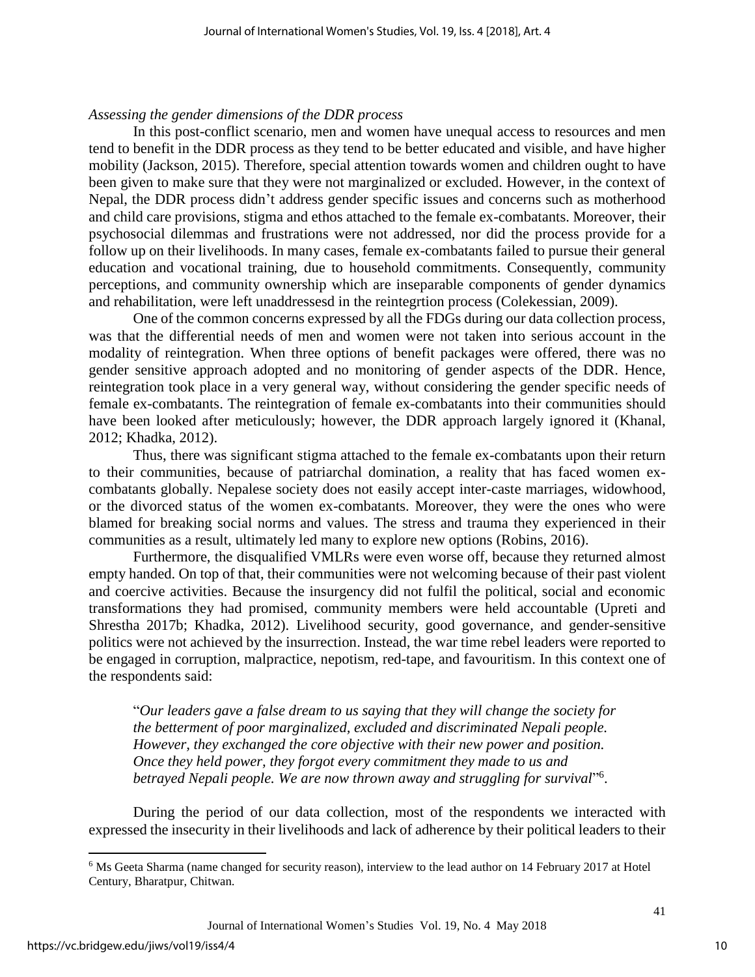#### *Assessing the gender dimensions of the DDR process*

In this post-conflict scenario, men and women have unequal access to resources and men tend to benefit in the DDR process as they tend to be better educated and visible, and have higher mobility (Jackson, 2015). Therefore, special attention towards women and children ought to have been given to make sure that they were not marginalized or excluded. However, in the context of Nepal, the DDR process didn't address gender specific issues and concerns such as motherhood and child care provisions, stigma and ethos attached to the female ex-combatants. Moreover, their psychosocial dilemmas and frustrations were not addressed, nor did the process provide for a follow up on their livelihoods. In many cases, female ex-combatants failed to pursue their general education and vocational training, due to household commitments. Consequently, community perceptions, and community ownership which are inseparable components of gender dynamics and rehabilitation, were left unaddressesd in the reintegrtion process (Colekessian, 2009).

One of the common concerns expressed by all the FDGs during our data collection process, was that the differential needs of men and women were not taken into serious account in the modality of reintegration. When three options of benefit packages were offered, there was no gender sensitive approach adopted and no monitoring of gender aspects of the DDR. Hence, reintegration took place in a very general way, without considering the gender specific needs of female ex-combatants. The reintegration of female ex-combatants into their communities should have been looked after meticulously; however, the DDR approach largely ignored it (Khanal, 2012; Khadka, 2012).

Thus, there was significant stigma attached to the female ex-combatants upon their return to their communities, because of patriarchal domination, a reality that has faced women excombatants globally. Nepalese society does not easily accept inter-caste marriages, widowhood, or the divorced status of the women ex-combatants. Moreover, they were the ones who were blamed for breaking social norms and values. The stress and trauma they experienced in their communities as a result, ultimately led many to explore new options (Robins, 2016).

Furthermore, the disqualified VMLRs were even worse off, because they returned almost empty handed. On top of that, their communities were not welcoming because of their past violent and coercive activities. Because the insurgency did not fulfil the political, social and economic transformations they had promised, community members were held accountable (Upreti and Shrestha 2017b; Khadka, 2012). Livelihood security, good governance, and gender-sensitive politics were not achieved by the insurrection. Instead, the war time rebel leaders were reported to be engaged in corruption, malpractice, nepotism, red-tape, and favouritism. In this context one of the respondents said:

"*Our leaders gave a false dream to us saying that they will change the society for the betterment of poor marginalized, excluded and discriminated Nepali people. However, they exchanged the core objective with their new power and position. Once they held power, they forgot every commitment they made to us and betrayed Nepali people. We are now thrown away and struggling for survival*" 6 .

During the period of our data collection, most of the respondents we interacted with expressed the insecurity in their livelihoods and lack of adherence by their political leaders to their

 $\overline{a}$ 

<sup>6</sup> Ms Geeta Sharma (name changed for security reason), interview to the lead author on 14 February 2017 at Hotel Century, Bharatpur, Chitwan.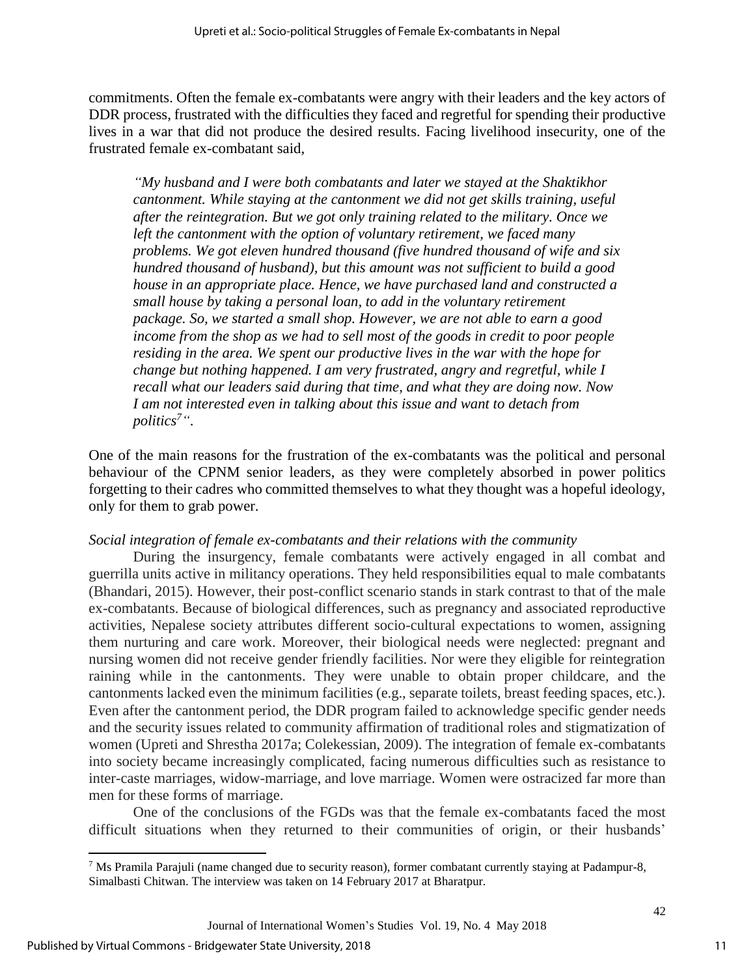commitments. Often the female ex-combatants were angry with their leaders and the key actors of DDR process, frustrated with the difficulties they faced and regretful for spending their productive lives in a war that did not produce the desired results. Facing livelihood insecurity, one of the frustrated female ex-combatant said,

*"My husband and I were both combatants and later we stayed at the Shaktikhor cantonment. While staying at the cantonment we did not get skills training, useful after the reintegration. But we got only training related to the military. Once we left the cantonment with the option of voluntary retirement, we faced many problems. We got eleven hundred thousand (five hundred thousand of wife and six hundred thousand of husband), but this amount was not sufficient to build a good house in an appropriate place. Hence, we have purchased land and constructed a small house by taking a personal loan, to add in the voluntary retirement package. So, we started a small shop. However, we are not able to earn a good income from the shop as we had to sell most of the goods in credit to poor people residing in the area. We spent our productive lives in the war with the hope for change but nothing happened. I am very frustrated, angry and regretful, while I recall what our leaders said during that time, and what they are doing now. Now I am not interested even in talking about this issue and want to detach from politics<sup>7</sup>"*.

One of the main reasons for the frustration of the ex-combatants was the political and personal behaviour of the CPNM senior leaders, as they were completely absorbed in power politics forgetting to their cadres who committed themselves to what they thought was a hopeful ideology, only for them to grab power.

## *Social integration of female ex-combatants and their relations with the community*

During the insurgency, female combatants were actively engaged in all combat and guerrilla units active in militancy operations. They held responsibilities equal to male combatants (Bhandari, 2015). However, their post-conflict scenario stands in stark contrast to that of the male ex-combatants. Because of biological differences, such as pregnancy and associated reproductive activities, Nepalese society attributes different socio-cultural expectations to women, assigning them nurturing and care work. Moreover, their biological needs were neglected: pregnant and nursing women did not receive gender friendly facilities. Nor were they eligible for reintegration raining while in the cantonments. They were unable to obtain proper childcare, and the cantonments lacked even the minimum facilities (e.g., separate toilets, breast feeding spaces, etc.). Even after the cantonment period, the DDR program failed to acknowledge specific gender needs and the security issues related to community affirmation of traditional roles and stigmatization of women (Upreti and Shrestha 2017a; Colekessian, 2009). The integration of female ex-combatants into society became increasingly complicated, facing numerous difficulties such as resistance to inter-caste marriages, widow-marriage, and love marriage. Women were ostracized far more than men for these forms of marriage.

One of the conclusions of the FGDs was that the female ex-combatants faced the most difficult situations when they returned to their communities of origin, or their husbands'

 $\overline{a}$ 

<sup>7</sup> Ms Pramila Parajuli (name changed due to security reason), former combatant currently staying at Padampur-8, Simalbasti Chitwan. The interview was taken on 14 February 2017 at Bharatpur.

Journal of International Women's Studies Vol. 19, No. 4 May 2018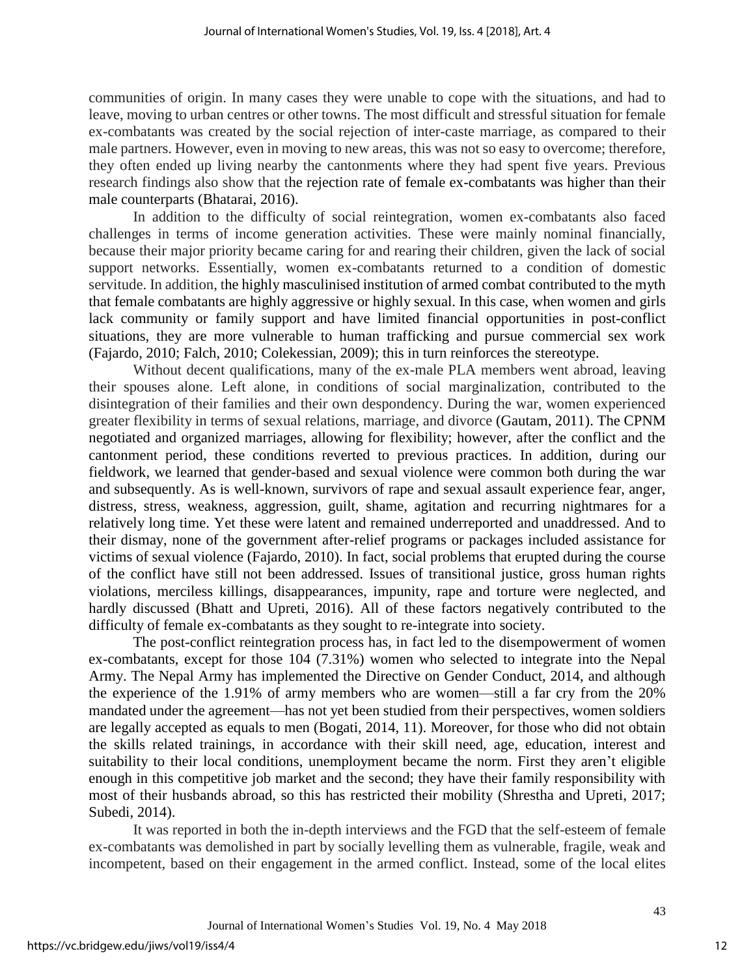communities of origin. In many cases they were unable to cope with the situations, and had to leave, moving to urban centres or other towns. The most difficult and stressful situation for female ex-combatants was created by the social rejection of inter-caste marriage, as compared to their male partners. However, even in moving to new areas, this was not so easy to overcome; therefore, they often ended up living nearby the cantonments where they had spent five years. Previous research findings also show that the rejection rate of female ex-combatants was higher than their male counterparts (Bhatarai, 2016).

In addition to the difficulty of social reintegration, women ex-combatants also faced challenges in terms of income generation activities. These were mainly nominal financially, because their major priority became caring for and rearing their children, given the lack of social support networks. Essentially, women ex-combatants returned to a condition of domestic servitude. In addition, the highly masculinised institution of armed combat contributed to the myth that female combatants are highly aggressive or highly sexual. In this case, when women and girls lack community or family support and have limited financial opportunities in post-conflict situations, they are more vulnerable to human trafficking and pursue commercial sex work (Fajardo, 2010; Falch, 2010; Colekessian, 2009); this in turn reinforces the stereotype.

Without decent qualifications, many of the ex-male PLA members went abroad, leaving their spouses alone. Left alone, in conditions of social marginalization, contributed to the disintegration of their families and their own despondency. During the war, women experienced greater flexibility in terms of sexual relations, marriage, and divorce (Gautam, 2011). The CPNM negotiated and organized marriages, allowing for flexibility; however, after the conflict and the cantonment period, these conditions reverted to previous practices. In addition, during our fieldwork, we learned that gender-based and sexual violence were common both during the war and subsequently. As is well-known, survivors of rape and sexual assault experience fear, anger, distress, stress, weakness, aggression, guilt, shame, agitation and recurring nightmares for a relatively long time. Yet these were latent and remained underreported and unaddressed. And to their dismay, none of the government after-relief programs or packages included assistance for victims of sexual violence (Fajardo, 2010). In fact, social problems that erupted during the course of the conflict have still not been addressed. Issues of transitional justice, gross human rights violations, merciless killings, disappearances, impunity, rape and torture were neglected, and hardly discussed (Bhatt and Upreti, 2016). All of these factors negatively contributed to the difficulty of female ex-combatants as they sought to re-integrate into society.

The post-conflict reintegration process has, in fact led to the disempowerment of women ex-combatants, except for those 104 (7.31%) women who selected to integrate into the Nepal Army. The Nepal Army has implemented the Directive on Gender Conduct, 2014, and although the experience of the 1.91% of army members who are women—still a far cry from the 20% mandated under the agreement—has not yet been studied from their perspectives, women soldiers are legally accepted as equals to men (Bogati, 2014, 11). Moreover, for those who did not obtain the skills related trainings, in accordance with their skill need, age, education, interest and suitability to their local conditions, unemployment became the norm. First they aren't eligible enough in this competitive job market and the second; they have their family responsibility with most of their husbands abroad, so this has restricted their mobility (Shrestha and Upreti, 2017; Subedi, 2014).

It was reported in both the in-depth interviews and the FGD that the self-esteem of female ex-combatants was demolished in part by socially levelling them as vulnerable, fragile, weak and incompetent, based on their engagement in the armed conflict. Instead, some of the local elites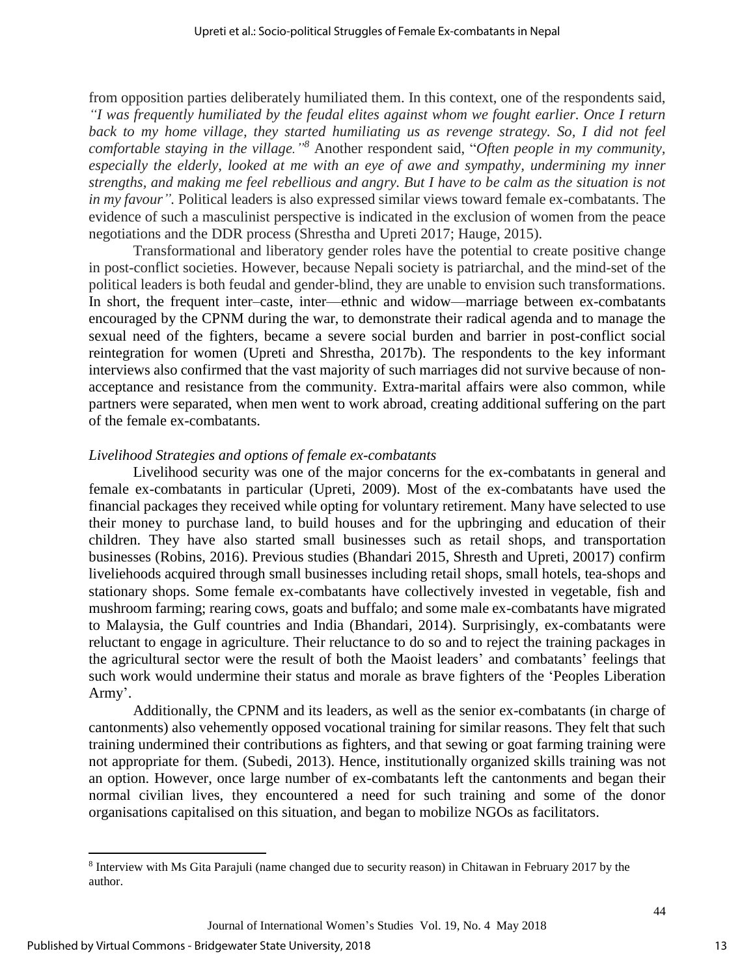from opposition parties deliberately humiliated them. In this context, one of the respondents said, *"I was frequently humiliated by the feudal elites against whom we fought earlier. Once I return*  back to my home village, they started humiliating us as revenge strategy. So, I did not feel *comfortable staying in the village."<sup>8</sup>* Another respondent said, "*Often people in my community, especially the elderly, looked at me with an eye of awe and sympathy, undermining my inner strengths, and making me feel rebellious and angry. But I have to be calm as the situation is not in my favour"*. Political leaders is also expressed similar views toward female ex-combatants. The evidence of such a masculinist perspective is indicated in the exclusion of women from the peace negotiations and the DDR process (Shrestha and Upreti 2017; Hauge, 2015).

Transformational and liberatory gender roles have the potential to create positive change in post-conflict societies. However, because Nepali society is patriarchal, and the mind-set of the political leaders is both feudal and gender-blind, they are unable to envision such transformations. In short, the frequent inter–caste, inter—ethnic and widow—marriage between ex-combatants encouraged by the CPNM during the war, to demonstrate their radical agenda and to manage the sexual need of the fighters, became a severe social burden and barrier in post-conflict social reintegration for women (Upreti and Shrestha, 2017b). The respondents to the key informant interviews also confirmed that the vast majority of such marriages did not survive because of nonacceptance and resistance from the community. Extra-marital affairs were also common, while partners were separated, when men went to work abroad, creating additional suffering on the part of the female ex-combatants.

#### *Livelihood Strategies and options of female ex-combatants*

Livelihood security was one of the major concerns for the ex-combatants in general and female ex-combatants in particular (Upreti, 2009). Most of the ex-combatants have used the financial packages they received while opting for voluntary retirement. Many have selected to use their money to purchase land, to build houses and for the upbringing and education of their children. They have also started small businesses such as retail shops, and transportation businesses (Robins, 2016). Previous studies (Bhandari 2015, Shresth and Upreti, 20017) confirm liveliehoods acquired through small businesses including retail shops, small hotels, tea-shops and stationary shops. Some female ex-combatants have collectively invested in vegetable, fish and mushroom farming; rearing cows, goats and buffalo; and some male ex-combatants have migrated to Malaysia, the Gulf countries and India (Bhandari, 2014). Surprisingly, ex-combatants were reluctant to engage in agriculture. Their reluctance to do so and to reject the training packages in the agricultural sector were the result of both the Maoist leaders' and combatants' feelings that such work would undermine their status and morale as brave fighters of the 'Peoples Liberation Army'.

Additionally, the CPNM and its leaders, as well as the senior ex-combatants (in charge of cantonments) also vehemently opposed vocational training for similar reasons. They felt that such training undermined their contributions as fighters, and that sewing or goat farming training were not appropriate for them. (Subedi, 2013). Hence, institutionally organized skills training was not an option. However, once large number of ex-combatants left the cantonments and began their normal civilian lives, they encountered a need for such training and some of the donor organisations capitalised on this situation, and began to mobilize NGOs as facilitators.

 $\overline{a}$ 

<sup>&</sup>lt;sup>8</sup> Interview with Ms Gita Parajuli (name changed due to security reason) in Chitawan in February 2017 by the author.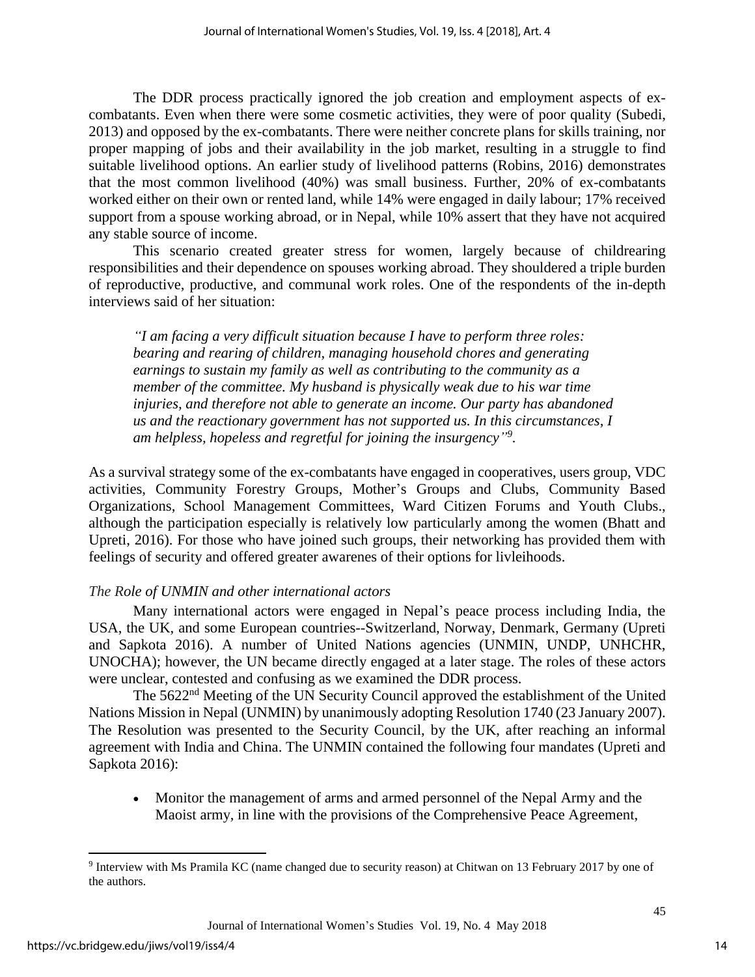The DDR process practically ignored the job creation and employment aspects of excombatants. Even when there were some cosmetic activities, they were of poor quality (Subedi, 2013) and opposed by the ex-combatants. There were neither concrete plans for skills training, nor proper mapping of jobs and their availability in the job market, resulting in a struggle to find suitable livelihood options. An earlier study of livelihood patterns (Robins, 2016) demonstrates that the most common livelihood (40%) was small business. Further, 20% of ex-combatants worked either on their own or rented land, while 14% were engaged in daily labour; 17% received support from a spouse working abroad, or in Nepal, while 10% assert that they have not acquired any stable source of income.

This scenario created greater stress for women, largely because of childrearing responsibilities and their dependence on spouses working abroad. They shouldered a triple burden of reproductive, productive, and communal work roles. One of the respondents of the in-depth interviews said of her situation:

*"I am facing a very difficult situation because I have to perform three roles: bearing and rearing of children, managing household chores and generating earnings to sustain my family as well as contributing to the community as a member of the committee. My husband is physically weak due to his war time injuries, and therefore not able to generate an income. Our party has abandoned us and the reactionary government has not supported us. In this circumstances, I am helpless, hopeless and regretful for joining the insurgency" 9 .*

As a survival strategy some of the ex-combatants have engaged in cooperatives, users group, VDC activities, Community Forestry Groups, Mother's Groups and Clubs, Community Based Organizations, School Management Committees, Ward Citizen Forums and Youth Clubs., although the participation especially is relatively low particularly among the women (Bhatt and Upreti, 2016). For those who have joined such groups, their networking has provided them with feelings of security and offered greater awarenes of their options for livleihoods.

## *The Role of UNMIN and other international actors*

Many international actors were engaged in Nepal's peace process including India, the USA, the UK, and some European countries--Switzerland, Norway, Denmark, Germany (Upreti and Sapkota 2016). A number of United Nations agencies (UNMIN, UNDP, UNHCHR, UNOCHA); however, the UN became directly engaged at a later stage. The roles of these actors were unclear, contested and confusing as we examined the DDR process.

The 5622<sup>nd</sup> Meeting of the UN Security Council approved the establishment of the United Nations Mission in Nepal (UNMIN) by unanimously adopting Resolution 1740 (23 January 2007). The Resolution was presented to the Security Council, by the UK, after reaching an informal agreement with India and China. The UNMIN contained the following four mandates (Upreti and Sapkota 2016):

 Monitor the management of arms and armed personnel of the Nepal Army and the Maoist army, in line with the provisions of the Comprehensive Peace Agreement,

 $\overline{a}$ 

14

<sup>&</sup>lt;sup>9</sup> Interview with Ms Pramila KC (name changed due to security reason) at Chitwan on 13 February 2017 by one of the authors.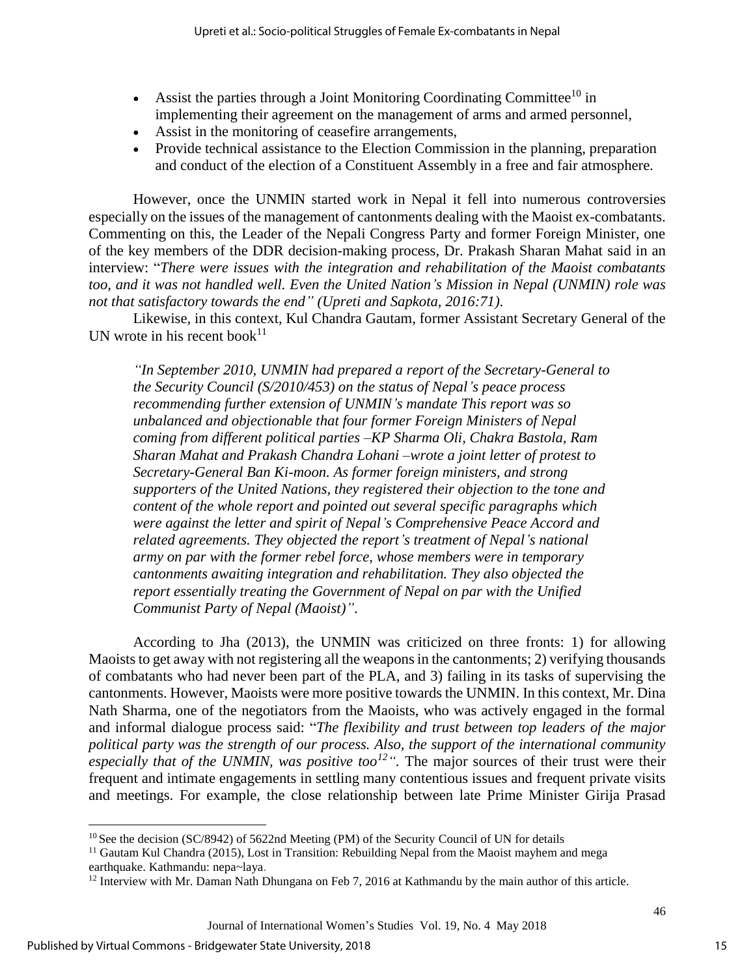- Assist the parties through a Joint Monitoring Coordinating Committee<sup>10</sup> in implementing their agreement on the management of arms and armed personnel,
- Assist in the monitoring of ceasefire arrangements,
- Provide technical assistance to the Election Commission in the planning, preparation and conduct of the election of a Constituent Assembly in a free and fair atmosphere.

However, once the UNMIN started work in Nepal it fell into numerous controversies especially on the issues of the management of cantonments dealing with the Maoist ex-combatants. Commenting on this, the Leader of the Nepali Congress Party and former Foreign Minister, one of the key members of the DDR decision-making process, Dr. Prakash Sharan Mahat said in an interview: "*There were issues with the integration and rehabilitation of the Maoist combatants too, and it was not handled well. Even the United Nation's Mission in Nepal (UNMIN) role was not that satisfactory towards the end" (Upreti and Sapkota, 2016:71)*.

Likewise, in this context, Kul Chandra Gautam, former Assistant Secretary General of the UN wrote in his recent book<sup>11</sup>

*"In September 2010, UNMIN had prepared a report of the Secretary-General to the Security Council (S/2010/453) on the status of Nepal's peace process recommending further extension of UNMIN's mandate This report was so unbalanced and objectionable that four former Foreign Ministers of Nepal coming from different political parties –KP Sharma Oli, Chakra Bastola, Ram Sharan Mahat and Prakash Chandra Lohani –wrote a joint letter of protest to Secretary-General Ban Ki-moon. As former foreign ministers, and strong supporters of the United Nations, they registered their objection to the tone and content of the whole report and pointed out several specific paragraphs which were against the letter and spirit of Nepal's Comprehensive Peace Accord and related agreements. They objected the report's treatment of Nepal's national army on par with the former rebel force, whose members were in temporary cantonments awaiting integration and rehabilitation. They also objected the report essentially treating the Government of Nepal on par with the Unified Communist Party of Nepal (Maoist)"*.

According to Jha (2013), the UNMIN was criticized on three fronts: 1) for allowing Maoists to get away with not registering all the weapons in the cantonments; 2) verifying thousands of combatants who had never been part of the PLA, and 3) failing in its tasks of supervising the cantonments. However, Maoists were more positive towards the UNMIN. In this context, Mr. Dina Nath Sharma, one of the negotiators from the Maoists, who was actively engaged in the formal and informal dialogue process said: "*The flexibility and trust between top leaders of the major political party was the strength of our process. Also, the support of the international community*  especially that of the UNMIN, was positive too<sup> $12$ </sup>". The major sources of their trust were their frequent and intimate engagements in settling many contentious issues and frequent private visits and meetings. For example, the close relationship between late Prime Minister Girija Prasad

 $\overline{a}$ 

 $10$  See the decision (SC/8942) of 5622nd Meeting (PM) of the Security Council of UN for details

<sup>&</sup>lt;sup>11</sup> Gautam Kul Chandra (2015), Lost in Transition: Rebuilding Nepal from the Maoist mayhem and mega earthquake. Kathmandu: nepa~laya.

<sup>&</sup>lt;sup>12</sup> Interview with Mr. Daman Nath Dhungana on Feb 7, 2016 at Kathmandu by the main author of this article.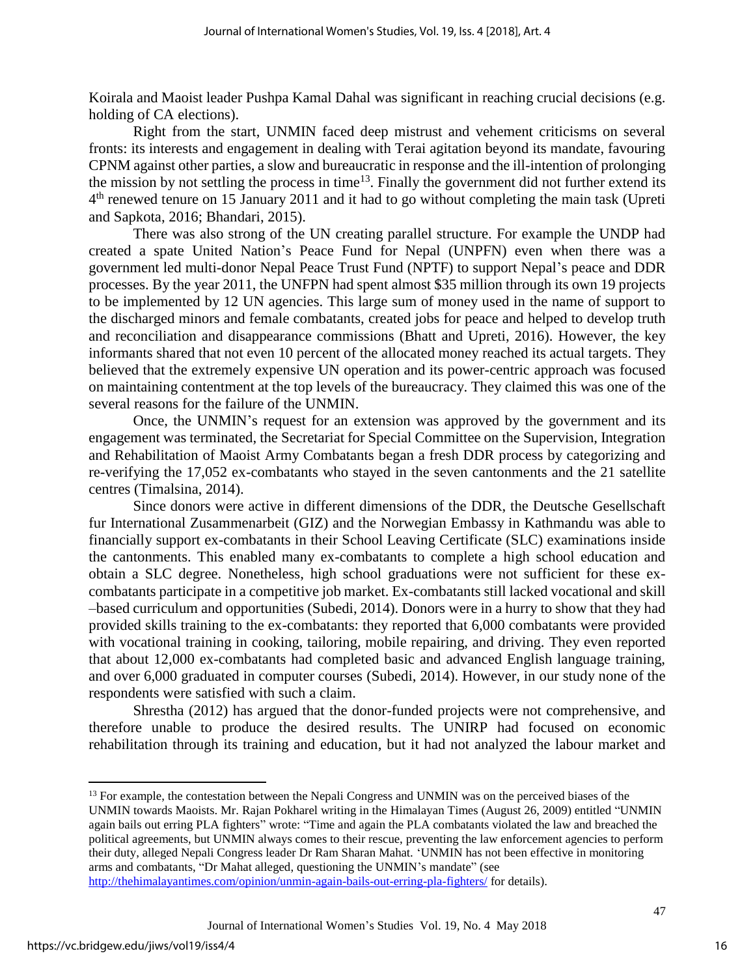Koirala and Maoist leader Pushpa Kamal Dahal was significant in reaching crucial decisions (e.g. holding of CA elections).

Right from the start, UNMIN faced deep mistrust and vehement criticisms on several fronts: its interests and engagement in dealing with Terai agitation beyond its mandate, favouring CPNM against other parties, a slow and bureaucratic in response and the ill-intention of prolonging the mission by not settling the process in time<sup>13</sup>. Finally the government did not further extend its 4<sup>th</sup> renewed tenure on 15 January 2011 and it had to go without completing the main task (Upreti and Sapkota, 2016; Bhandari, 2015).

There was also strong of the UN creating parallel structure. For example the UNDP had created a spate United Nation's Peace Fund for Nepal (UNPFN) even when there was a government led multi-donor Nepal Peace Trust Fund (NPTF) to support Nepal's peace and DDR processes. By the year 2011, the UNFPN had spent almost \$35 million through its own 19 projects to be implemented by 12 UN agencies. This large sum of money used in the name of support to the discharged minors and female combatants, created jobs for peace and helped to develop truth and reconciliation and disappearance commissions (Bhatt and Upreti, 2016). However, the key informants shared that not even 10 percent of the allocated money reached its actual targets. They believed that the extremely expensive UN operation and its power-centric approach was focused on maintaining contentment at the top levels of the bureaucracy. They claimed this was one of the several reasons for the failure of the UNMIN.

Once, the UNMIN's request for an extension was approved by the government and its engagement was terminated, the Secretariat for Special Committee on the Supervision, Integration and Rehabilitation of Maoist Army Combatants began a fresh DDR process by categorizing and re-verifying the 17,052 ex-combatants who stayed in the seven cantonments and the 21 satellite centres (Timalsina, 2014).

Since donors were active in different dimensions of the DDR, the Deutsche Gesellschaft fur International Zusammenarbeit (GIZ) and the Norwegian Embassy in Kathmandu was able to financially support ex-combatants in their School Leaving Certificate (SLC) examinations inside the cantonments. This enabled many ex-combatants to complete a high school education and obtain a SLC degree. Nonetheless, high school graduations were not sufficient for these excombatants participate in a competitive job market. Ex-combatants still lacked vocational and skill –based curriculum and opportunities (Subedi, 2014). Donors were in a hurry to show that they had provided skills training to the ex-combatants: they reported that 6,000 combatants were provided with vocational training in cooking, tailoring, mobile repairing, and driving. They even reported that about 12,000 ex-combatants had completed basic and advanced English language training, and over 6,000 graduated in computer courses (Subedi, 2014). However, in our study none of the respondents were satisfied with such a claim.

Shrestha (2012) has argued that the donor-funded projects were not comprehensive, and therefore unable to produce the desired results. The UNIRP had focused on economic rehabilitation through its training and education, but it had not analyzed the labour market and

 $\overline{\phantom{a}}$ 

<sup>&</sup>lt;sup>13</sup> For example, the contestation between the Nepali Congress and UNMIN was on the perceived biases of the UNMIN towards Maoists. Mr. Rajan Pokharel writing in [the Himalayan Times](http://thehimalayantimes.com/) (August 26, 2009) entitled "UNMIN again bails out erring PLA fighters" wrote: "Time and again the PLA combatants violated the law and breached the political agreements, but UNMIN always comes to their rescue, preventing the law enforcement agencies to perform their duty, alleged Nepali Congress leader Dr Ram Sharan Mahat. 'UNMIN has not been effective in monitoring arms and combatants, "Dr Mahat alleged, questioning the UNMIN's mandate" (see <http://thehimalayantimes.com/opinion/unmin-again-bails-out-erring-pla-fighters/> for details).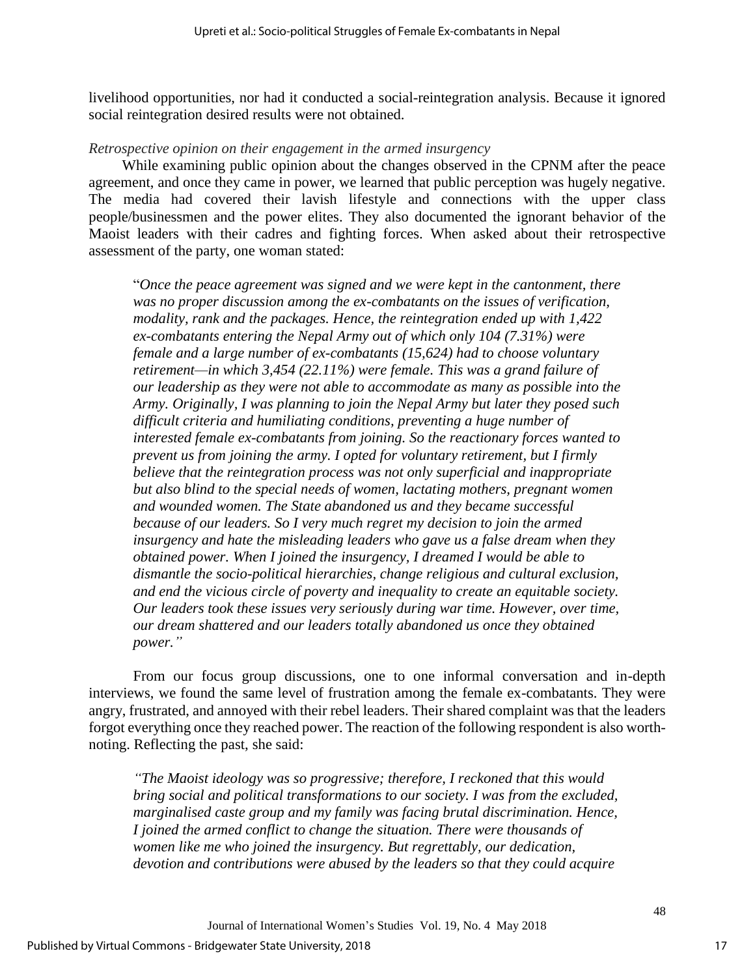livelihood opportunities, nor had it conducted a social-reintegration analysis. Because it ignored social reintegration desired results were not obtained.

#### *Retrospective opinion on their engagement in the armed insurgency*

While examining public opinion about the changes observed in the CPNM after the peace agreement, and once they came in power, we learned that public perception was hugely negative. The media had covered their lavish lifestyle and connections with the upper class people/businessmen and the power elites. They also documented the ignorant behavior of the Maoist leaders with their cadres and fighting forces. When asked about their retrospective assessment of the party, one woman stated:

"*Once the peace agreement was signed and we were kept in the cantonment, there was no proper discussion among the ex-combatants on the issues of verification, modality, rank and the packages. Hence, the reintegration ended up with 1,422 ex-combatants entering the Nepal Army out of which only 104 (7.31%) were female and a large number of ex-combatants (15,624) had to choose voluntary retirement—in which 3,454 (22.11%) were female. This was a grand failure of our leadership as they were not able to accommodate as many as possible into the Army. Originally, I was planning to join the Nepal Army but later they posed such difficult criteria and humiliating conditions, preventing a huge number of interested female ex-combatants from joining. So the reactionary forces wanted to prevent us from joining the army. I opted for voluntary retirement, but I firmly believe that the reintegration process was not only superficial and inappropriate but also blind to the special needs of women, lactating mothers, pregnant women and wounded women. The State abandoned us and they became successful because of our leaders. So I very much regret my decision to join the armed insurgency and hate the misleading leaders who gave us a false dream when they obtained power. When I joined the insurgency, I dreamed I would be able to dismantle the socio-political hierarchies, change religious and cultural exclusion, and end the vicious circle of poverty and inequality to create an equitable society. Our leaders took these issues very seriously during war time. However, over time, our dream shattered and our leaders totally abandoned us once they obtained power."*

From our focus group discussions, one to one informal conversation and in-depth interviews, we found the same level of frustration among the female ex-combatants. They were angry, frustrated, and annoyed with their rebel leaders. Their shared complaint was that the leaders forgot everything once they reached power. The reaction of the following respondent is also worthnoting. Reflecting the past, she said:

*"The Maoist ideology was so progressive; therefore, I reckoned that this would bring social and political transformations to our society. I was from the excluded, marginalised caste group and my family was facing brutal discrimination. Hence, I joined the armed conflict to change the situation. There were thousands of women like me who joined the insurgency. But regrettably, our dedication, devotion and contributions were abused by the leaders so that they could acquire*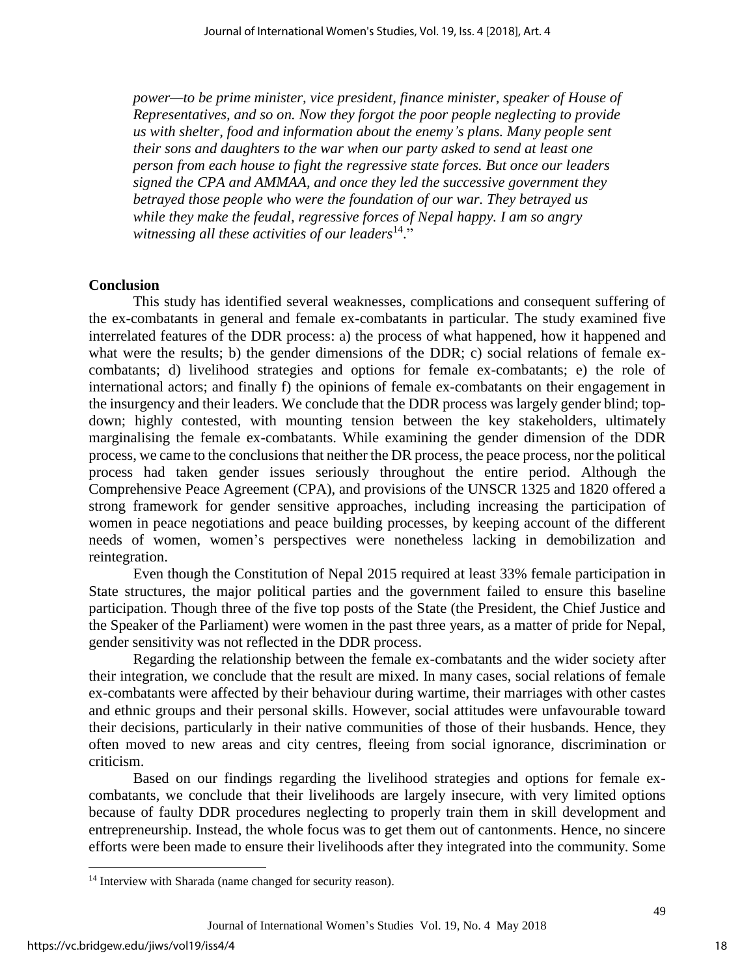*power—to be prime minister, vice president, finance minister, speaker of House of Representatives, and so on. Now they forgot the poor people neglecting to provide us with shelter, food and information about the enemy's plans. Many people sent their sons and daughters to the war when our party asked to send at least one person from each house to fight the regressive state forces. But once our leaders signed the CPA and AMMAA, and once they led the successive government they betrayed those people who were the foundation of our war. They betrayed us while they make the feudal, regressive forces of Nepal happy. I am so angry witnessing all these activities of our leaders*<sup>14</sup> ."

#### **Conclusion**

This study has identified several weaknesses, complications and consequent suffering of the ex-combatants in general and female ex-combatants in particular. The study examined five interrelated features of the DDR process: a) the process of what happened, how it happened and what were the results; b) the gender dimensions of the DDR; c) social relations of female excombatants; d) livelihood strategies and options for female ex-combatants; e) the role of international actors; and finally f) the opinions of female ex-combatants on their engagement in the insurgency and their leaders. We conclude that the DDR process was largely gender blind; topdown; highly contested, with mounting tension between the key stakeholders, ultimately marginalising the female ex-combatants. While examining the gender dimension of the DDR process, we came to the conclusions that neither the DR process, the peace process, nor the political process had taken gender issues seriously throughout the entire period. Although the Comprehensive Peace Agreement (CPA), and provisions of the UNSCR 1325 and 1820 offered a strong framework for gender sensitive approaches, including increasing the participation of women in peace negotiations and peace building processes, by keeping account of the different needs of women, women's perspectives were nonetheless lacking in demobilization and reintegration.

Even though the Constitution of Nepal 2015 required at least 33% female participation in State structures, the major political parties and the government failed to ensure this baseline participation. Though three of the five top posts of the State (the President, the Chief Justice and the Speaker of the Parliament) were women in the past three years, as a matter of pride for Nepal, gender sensitivity was not reflected in the DDR process.

Regarding the relationship between the female ex-combatants and the wider society after their integration, we conclude that the result are mixed. In many cases, social relations of female ex-combatants were affected by their behaviour during wartime, their marriages with other castes and ethnic groups and their personal skills. However, social attitudes were unfavourable toward their decisions, particularly in their native communities of those of their husbands. Hence, they often moved to new areas and city centres, fleeing from social ignorance, discrimination or criticism.

Based on our findings regarding the livelihood strategies and options for female excombatants, we conclude that their livelihoods are largely insecure, with very limited options because of faulty DDR procedures neglecting to properly train them in skill development and entrepreneurship. Instead, the whole focus was to get them out of cantonments. Hence, no sincere efforts were been made to ensure their livelihoods after they integrated into the community. Some

 $\overline{\phantom{a}}$ 

<sup>&</sup>lt;sup>14</sup> Interview with Sharada (name changed for security reason).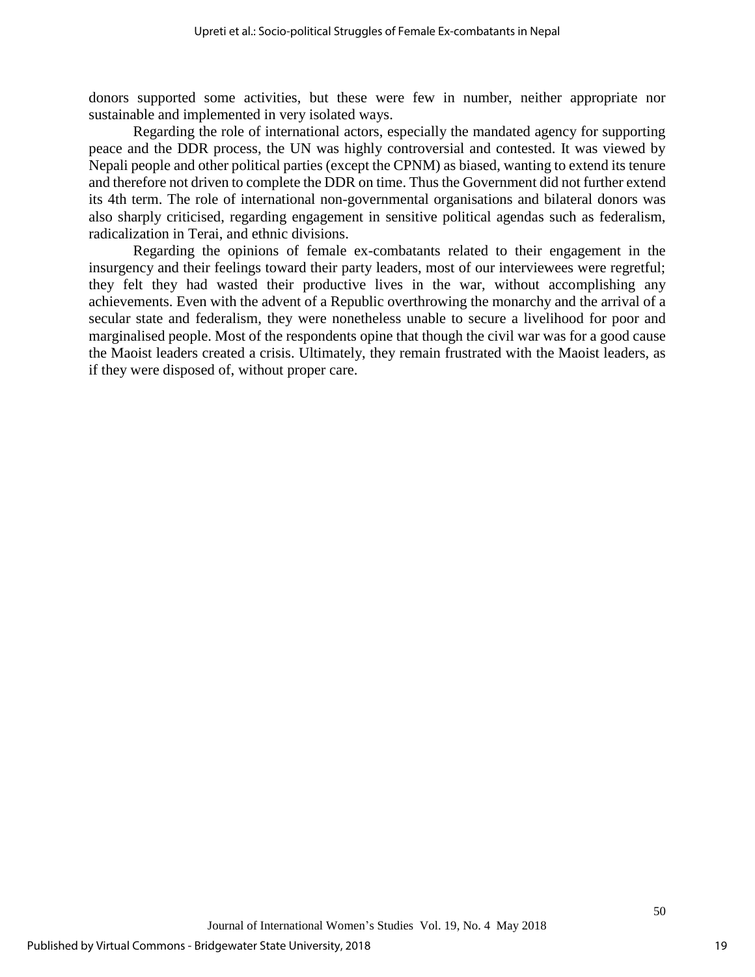donors supported some activities, but these were few in number, neither appropriate nor sustainable and implemented in very isolated ways.

Regarding the role of international actors, especially the mandated agency for supporting peace and the DDR process, the UN was highly controversial and contested. It was viewed by Nepali people and other political parties (except the CPNM) as biased, wanting to extend its tenure and therefore not driven to complete the DDR on time. Thus the Government did not further extend its 4th term. The role of international non-governmental organisations and bilateral donors was also sharply criticised, regarding engagement in sensitive political agendas such as federalism, radicalization in Terai, and ethnic divisions.

Regarding the opinions of female ex-combatants related to their engagement in the insurgency and their feelings toward their party leaders, most of our interviewees were regretful; they felt they had wasted their productive lives in the war, without accomplishing any achievements. Even with the advent of a Republic overthrowing the monarchy and the arrival of a secular state and federalism, they were nonetheless unable to secure a livelihood for poor and marginalised people. Most of the respondents opine that though the civil war was for a good cause the Maoist leaders created a crisis. Ultimately, they remain frustrated with the Maoist leaders, as if they were disposed of, without proper care.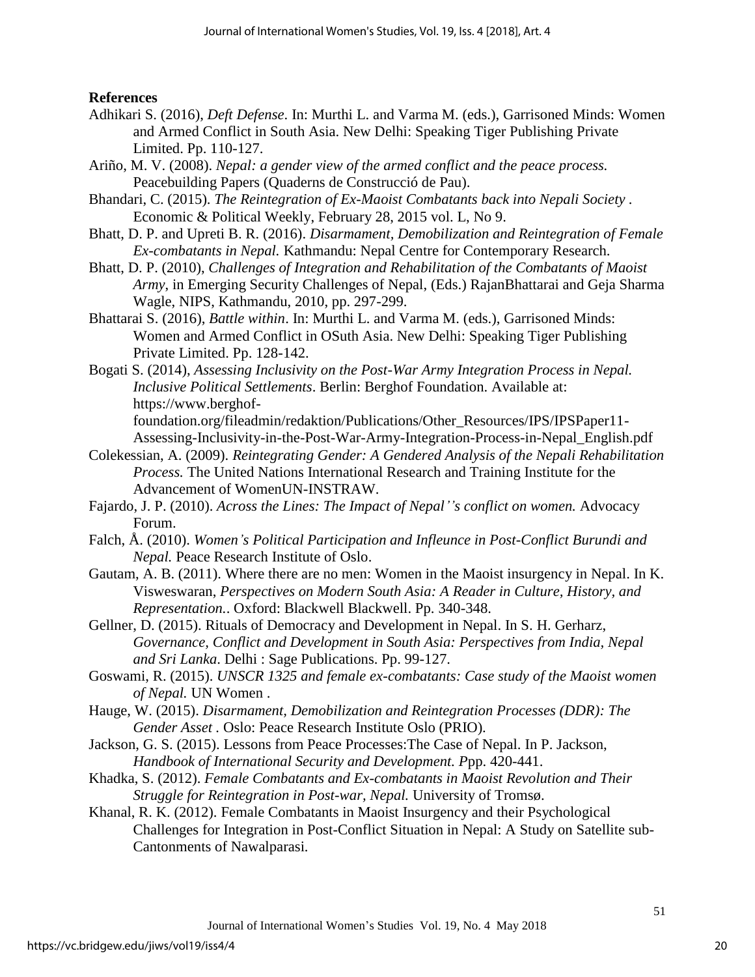## **References**

- Adhikari S. (2016), *Deft Defense*. In: Murthi L. and Varma M. (eds.), Garrisoned Minds: Women and Armed Conflict in South Asia. New Delhi: Speaking Tiger Publishing Private Limited. Pp. 110-127.
- Ariño, M. V. (2008). *Nepal: a gender view of the armed conflict and the peace process.* Peacebuilding Papers (Quaderns de Construcció de Pau).
- Bhandari, C. (2015). *The Reintegration of Ex-Maoist Combatants back into Nepali Society .* Economic & Political Weekly, February 28, 2015 vol. L, No 9.
- Bhatt, D. P. and Upreti B. R. (2016). *Disarmament, Demobilization and Reintegration of Female Ex-combatants in Nepal.* Kathmandu: Nepal Centre for Contemporary Research.
- Bhatt, D. P. (2010), *Challenges of Integration and Rehabilitation of the Combatants of Maoist Army*, in Emerging Security Challenges of Nepal, (Eds.) RajanBhattarai and Geja Sharma Wagle, NIPS, Kathmandu, 2010, pp. 297-299.
- Bhattarai S. (2016), *Battle within*. In: Murthi L. and Varma M. (eds.), Garrisoned Minds: Women and Armed Conflict in OSuth Asia. New Delhi: Speaking Tiger Publishing Private Limited. Pp. 128-142.
- Bogati S. (2014), *Assessing Inclusivity on the Post-War Army Integration Process in Nepal. Inclusive Political Settlements*. Berlin: Berghof Foundation. Available at: https://www.berghoffoundation.org/fileadmin/redaktion/Publications/Other\_Resources/IPS/IPSPaper11-

Assessing-Inclusivity-in-the-Post-War-Army-Integration-Process-in-Nepal\_English.pdf

- Colekessian, A. (2009). *Reintegrating Gender: A Gendered Analysis of the Nepali Rehabilitation Process.* The United Nations International Research and Training Institute for the Advancement of WomenUN-INSTRAW.
- Fajardo, J. P. (2010). *Across the Lines: The Impact of Nepal''s conflict on women.* Advocacy Forum.
- Falch, Å. (2010). *Women's Political Participation and Infleunce in Post-Conflict Burundi and Nepal.* Peace Research Institute of Oslo.
- Gautam, A. B. (2011). Where there are no men: Women in the Maoist insurgency in Nepal. In K. Visweswaran, *Perspectives on Modern South Asia: A Reader in Culture, History, and Representation.*. Oxford: Blackwell Blackwell. Pp. 340-348.
- Gellner, D. (2015). Rituals of Democracy and Development in Nepal. In S. H. Gerharz, *Governance, Conflict and Development in South Asia: Perspectives from India, Nepal and Sri Lanka*. Delhi : Sage Publications. Pp. 99-127.
- Goswami, R. (2015). *UNSCR 1325 and female ex-combatants: Case study of the Maoist women of Nepal.* UN Women .
- Hauge, W. (2015). *Disarmament, Demobilization and Reintegration Processes (DDR): The Gender Asset .* Oslo: Peace Research Institute Oslo (PRIO).
- Jackson, G. S. (2015). Lessons from Peace Processes:The Case of Nepal. In P. Jackson, *Handbook of International Security and Development. P*pp. 420-441.
- Khadka, S. (2012). *Female Combatants and Ex-combatants in Maoist Revolution and Their Struggle for Reintegration in Post-war, Nepal.* University of Tromsø.
- Khanal, R. K. (2012). Female Combatants in Maoist Insurgency and their Psychological Challenges for Integration in Post-Conflict Situation in Nepal: A Study on Satellite sub-Cantonments of Nawalparasi*.*